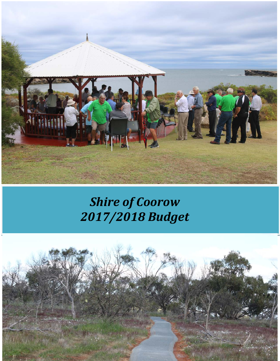

# *Shire of Coorow 2017/2018 Budget*

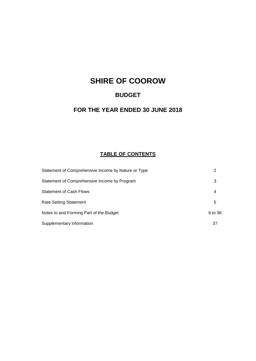## **SHIRE OF COOROW**

## **BUDGET**

## **FOR THE YEAR ENDED 30 JUNE 2018**

## **TABLE OF CONTENTS**

| Statement of Comprehensive Income by Nature or Type | 2       |
|-----------------------------------------------------|---------|
| Statement of Comprehensive Income by Program        | 3       |
| <b>Statement of Cash Flows</b>                      | 4       |
| <b>Rate Setting Statement</b>                       | 5       |
| Notes to and Forming Part of the Budget             | 6 to 36 |
| Supplementary Information                           | 37      |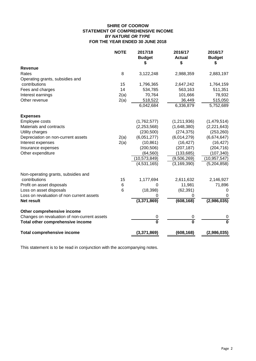## **SHIRE OF COOROW STATEMENT OF COMPREHENSIVE INCOME** *BY NATURE OR TYPE* **FOR THE YEAR ENDED 30 JUNE 2018**

|                                              | <b>NOTE</b> | 2017/18<br><b>Budget</b> | 2016/17<br><b>Actual</b><br>\$ | 2016/17<br><b>Budget</b> |
|----------------------------------------------|-------------|--------------------------|--------------------------------|--------------------------|
| <b>Revenue</b>                               |             |                          |                                |                          |
| Rates                                        | 8           | 3,122,248                | 2,988,359                      | 2,883,197                |
| Operating grants, subsidies and              |             |                          |                                |                          |
| contributions                                | 15          | 1,796,365                | 2,647,242                      | 1,764,159                |
| Fees and charges                             | 14          | 534,785                  | 563,163                        | 511,351                  |
| Interest earnings                            | 2(a)        | 70,764                   | 101,666                        | 78,932                   |
| Other revenue                                | 2(a)        | 518,522                  | 36,449                         | 515,050                  |
|                                              |             | 6,042,684                | 6,336,879                      | 5,752,689                |
| <b>Expenses</b>                              |             |                          |                                |                          |
| Employee costs                               |             | (1,762,577)              | (1,211,936)                    | (1,479,514)              |
| Materials and contracts                      |             | (2, 253, 568)            | (1,648,380)                    | (2,221,643)              |
| Utility charges                              |             | (230, 500)               | (274, 375)                     | (253, 260)               |
| Depreciation on non-current assets           | 2(a)        | (6,051,277)              | (6,014,279)                    | (6,674,647)              |
| Interest expenses                            | 2(a)        | (10, 861)                | (16, 427)                      | (16, 427)                |
| Insurance expenses                           |             | (200, 506)               | (207, 187)                     | (204, 716)               |
| Other expenditure                            |             | (64, 560)                | (133, 685)                     | (107, 340)               |
|                                              |             | (10,573,849)             | (9,506,269)                    | (10, 957, 547)           |
|                                              |             | (4,531,165)              | (3, 169, 390)                  | (5,204,858)              |
| Non-operating grants, subsidies and          |             |                          |                                |                          |
| contributions                                | 15          | 1,177,694                | 2,611,632                      | 2,146,927                |
| Profit on asset disposals                    | 6           | 0                        | 11,981                         | 71,896                   |
| Loss on asset disposals                      | 6           | (18, 398)                | (62, 391)                      | 0                        |
| Loss on revaluation of non current assets    |             | 0                        | 0                              | 0                        |
| <b>Net result</b>                            |             | (3,371,869)              | (608, 168)                     | (2,986,035)              |
| Other comprehensive income                   |             |                          |                                |                          |
| Changes on revaluation of non-current assets |             | 0                        | 0                              | 0                        |
| Total other comprehensive income             |             | $\bf{0}$                 | 0                              | $\Omega$                 |
| <b>Total comprehensive income</b>            |             | (3,371,869)              | (608, 168)                     | (2,986,035)              |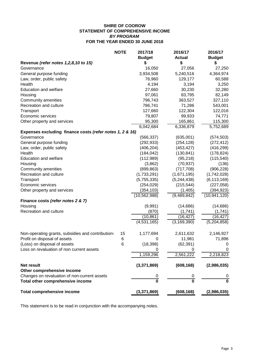## **SHIRE OF COOROW STATEMENT OF COMPREHENSIVE INCOME** *BY PROGRAM* **FOR THE YEAR ENDED 30 JUNE 2018**

| <b>NOTE</b>                                              | 2017/18                      | 2016/17       | 2016/17        |
|----------------------------------------------------------|------------------------------|---------------|----------------|
|                                                          | <b>Budget</b>                | <b>Actual</b> | <b>Budget</b>  |
| Revenue (refer notes 1,2,8,10 to 15)                     | S                            | \$            | \$             |
| Governance                                               | 16,050                       | 27,056        | 27,250         |
| General purpose funding                                  | 3,934,508                    | 5,240,516     | 4,364,974      |
| Law, order, public safety                                | 76,960                       | 129,177       | 60,588         |
| Health                                                   | 4,194                        | 3,194         | 3,250          |
| Education and welfare                                    | 27,660                       | 30,230        | 32,280         |
| Housing                                                  | 97,061                       | 83,795        | 82,149         |
| Community amenities                                      | 796,743                      | 363,527       | 327,110        |
| Recreation and culture                                   | 786,741                      | 71,286        | 543,001        |
| Transport                                                | 127,660                      | 122,304       | 122,016        |
| Economic services                                        | 79,807                       | 99,933        | 74,771         |
| Other property and services                              | 95,300                       | 165,861       | 115,300        |
|                                                          | 6,042,684                    | 6,336,879     | 5,752,689      |
| Expenses excluding finance costs (refer notes 1, 2 & 16) |                              |               |                |
| Governance                                               | (566, 337)                   | (635,001)     | (574, 503)     |
| General purpose funding                                  | (292, 933)                   | (254, 128)    | (272, 412)     |
| Law, order, public safety                                | (406, 204)                   | (453, 427)    | (416, 299)     |
| Health                                                   | (184, 042)                   | (130, 841)    | (178, 824)     |
| <b>Education and welfare</b>                             | (112,989)                    | (95, 218)     | (115, 540)     |
| Housing                                                  | (3,862)                      | (70, 937)     | (136)          |
| Community amenities                                      | (899, 863)                   | (717, 708)    | (906, 228)     |
| Recreation and culture                                   | (1,733,291)                  | (1,671,195)   | (1,742,028)    |
| Transport                                                | (5,755,335)                  | (5, 244, 438) | (6, 113, 169)  |
| Economic services                                        | (254, 029)                   | (215, 544)    | (227, 058)     |
| Other property and services                              | (354, 103)                   | (1, 405)      | (394, 923)     |
|                                                          | (10, 562, 988)               | (9,489,842)   | (10, 941, 120) |
| Finance costs (refer notes 2 & 7)                        |                              |               |                |
| Housing                                                  | (9,991)                      | (14, 686)     | (14, 686)      |
| Recreation and culture                                   | (870)                        | (1,741)       | (1,741)        |
|                                                          | (10, 861)                    | (16,427)      | (16, 427)      |
|                                                          | (4,531,165)                  | (3, 169, 390) | (5,204,858)    |
|                                                          |                              |               |                |
|                                                          |                              |               |                |
| Non-operating grants, subsidies and contributions        | 15<br>1,177,694              | 2,611,632     | 2,146,927      |
| Profit on disposal of assets                             | 6<br>0                       | 11,981        | 71,896         |
| (Loss) on disposal of assets                             | (18, 398)<br>$6\phantom{1}6$ | (62, 391)     | 0              |
| Loss on revaluation of non current assets                |                              | 0             | 0              |
|                                                          | 1,159,296                    | 2,561,222     | 2,218,823      |
| <b>Net result</b>                                        | (3,371,869)                  | (608, 168)    | (2,986,035)    |
| Other comprehensive income                               |                              |               |                |
| Changes on revaluation of non-current assets             | 0                            | 0             | 0              |
| Total other comprehensive income                         | $\overline{\mathbf{0}}$      | 0             | $\bf{0}$       |
| <b>Total comprehensive income</b>                        | (3,371,869)                  | (608, 168)    | (2,986,035)    |
|                                                          |                              |               |                |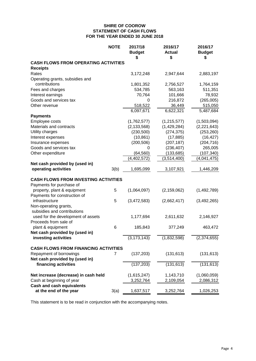## **SHIRE OF COOROW STATEMENT OF CASH FLOWS FOR THE YEAR ENDED 30 JUNE 2018**

|                                             | <b>NOTE</b> | 2017/18<br><b>Budget</b><br>S | 2016/17<br><b>Actual</b><br>\$ | 2016/17<br><b>Budget</b><br>S |
|---------------------------------------------|-------------|-------------------------------|--------------------------------|-------------------------------|
| <b>CASH FLOWS FROM OPERATING ACTIVITIES</b> |             |                               |                                |                               |
| <b>Receipts</b>                             |             |                               |                                |                               |
| Rates                                       |             | 3,172,248                     | 2,947,644                      | 2,883,197                     |
| Operating grants, subsidies and             |             |                               |                                |                               |
| contributions                               |             | 1,801,352                     | 2,756,527                      | 1,764,159                     |
| Fees and charges                            |             | 534,785                       | 563,163                        | 511,351                       |
| Interest earnings                           |             | 70,764                        | 101,666                        | 78,932                        |
| Goods and services tax                      |             | 0                             | 216,872                        | (265,005)                     |
| Other revenue                               |             | 518,522                       | 36,449                         | 515,050                       |
|                                             |             | 6,097,671                     | 6,622,321                      | 5,487,684                     |
| <b>Payments</b>                             |             |                               |                                |                               |
| Employee costs                              |             | (1,762,577)                   | (1, 215, 577)                  | (1,503,094)                   |
| Materials and contracts                     |             | (2, 133, 568)                 | (1,429,284)                    | (2,221,643)                   |
| Utility charges                             |             | (230, 500)                    | (274, 375)                     | (253, 260)                    |
| Interest expenses                           |             | (10, 861)                     | (17, 885)                      | (16, 427)                     |
| Insurance expenses                          |             | (200, 506)                    | (207, 187)                     | (204, 716)                    |
| Goods and services tax                      |             | 0                             | (236, 407)                     | 265,005                       |
| Other expenditure                           |             | (64, 560)                     | (133, 685)                     | (107, 340)                    |
|                                             |             | $\sqrt{(4, 402, 572)}$        | (3,514,400)                    | (4,041,475)                   |
| Net cash provided by (used in)              |             |                               |                                |                               |
| operating activities                        | 3(b)        | 1,695,099                     | 3,107,921                      | 1,446,209                     |
| <b>CASH FLOWS FROM INVESTING ACTIVITIES</b> |             |                               |                                |                               |
| Payments for purchase of                    |             |                               |                                |                               |
| property, plant & equipment                 | 5           | (1,064,097)                   | (2, 159, 062)                  | (1,492,789)                   |
| Payments for construction of                |             |                               |                                |                               |
| infrastructure                              | 5           | (3,472,583)                   | (2,662,417)                    | (3,492,265)                   |
| Non-operating grants,                       |             |                               |                                |                               |
| subsidies and contributions                 |             |                               |                                |                               |
| used for the development of assets          |             | 1,177,694                     | 2,611,632                      | 2,146,927                     |
| Proceeds from sale of                       |             |                               |                                |                               |
| plant & equipment                           | 6           | 185,843                       | 377,249                        | 463,472                       |
| Net cash provided by (used in)              |             |                               |                                |                               |
| investing activities                        |             | (3, 173, 143)                 | (1,832,598)                    | (2,374,655)                   |
| <b>CASH FLOWS FROM FINANCING ACTIVITIES</b> |             |                               |                                |                               |
| Repayment of borrowings                     | 7           | (137, 203)                    | (131, 613)                     | (131, 613)                    |
| Net cash provided by (used in)              |             |                               |                                |                               |
| financing activities                        |             | (137, 203)                    | (131, 613)                     | (131, 613)                    |
|                                             |             |                               |                                |                               |
| Net increase (decrease) in cash held        |             | (1,615,247)                   | 1,143,710                      | (1,060,059)                   |
| Cash at beginning of year                   |             | 3,252,764                     | 2,109,054                      | 2,086,312                     |
| <b>Cash and cash equivalents</b>            |             |                               |                                |                               |
| at the end of the year                      | 3(a)        | 1,637,517                     | 3,252,764                      | 1,026,253                     |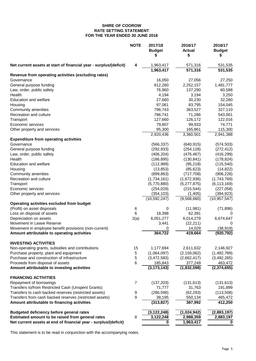#### **SHIRE OF COOROW RATE SETTING STATEMENT FOR THE YEAR ENDED 30 JUNE 2018**

|                                                                   | <b>NOTE</b> | 2017/18<br><b>Budget</b><br>S | 2016/17<br><b>Actual</b><br>\$ | 2016/17<br><b>Budget</b><br>\$ |
|-------------------------------------------------------------------|-------------|-------------------------------|--------------------------------|--------------------------------|
| Net current assets at start of financial year - surplus/(deficit) | 4           | 1,963,417                     | 571,316                        | 531,535                        |
| Revenue from operating activities (excluding rates)               |             | 1,963,417                     | 571,316                        | 531,535                        |
|                                                                   |             |                               |                                |                                |
| Governance<br>General purpose funding                             |             | 16,050<br>812,260             | 27,056<br>2,252,157            | 27,250                         |
| Law, order, public safety                                         |             | 76,960                        | 137,290                        | 1,481,777                      |
| Health                                                            |             | 4,194                         | 3,194                          | 60,588                         |
|                                                                   |             | 27,660                        |                                | 3,250                          |
| <b>Education and welfare</b>                                      |             | 97,061                        | 30,230<br>83,795               | 32,280<br>154,045              |
| Housing                                                           |             | 796,743                       | 363,527                        |                                |
| Community amenities                                               |             |                               |                                | 327,110                        |
| Recreation and culture                                            |             | 786,741<br>127,660            | 71,286                         | 543,001                        |
| Transport<br>Economic services                                    |             | 79,807                        | 126,172<br>99,933              | 122,016<br>74,771              |
|                                                                   |             | 95,300                        | 165,861                        | 115,300                        |
| Other property and services                                       |             | 2,920,436                     | 3,360,501                      | 2,941,388                      |
| <b>Expenditure from operating activities</b>                      |             |                               |                                |                                |
| Governance                                                        |             | (566, 337)                    | (640, 915)                     | (574, 503)                     |
| General purpose funding                                           |             | (292, 933)                    | (254, 128)                     | (272, 412)                     |
| Law, order, public safety                                         |             | (406, 204)                    | (476, 467)                     | (416, 299)                     |
| Health                                                            |             | (186, 895)                    | (130, 841)                     | (178, 824)                     |
| <b>Education and welfare</b>                                      |             | (112,989)                     | (95, 218)                      | (115, 540)                     |
| Housing                                                           |             | (13, 853)                     | (85, 623)                      | (14, 822)                      |
| Community amenities                                               |             | (899, 863)                    | (717, 708)                     | (906, 228)                     |
| Recreation and culture                                            |             | (1,734,161)                   | (1,672,936)                    | (1,743,769)                    |
| Transport                                                         |             | (5,770,880)                   | (5,277,875)                    | (6, 113, 169)                  |
| Economic services                                                 |             | (254, 029)                    | (215, 544)                     | (227,058)                      |
| Other property and services                                       |             | (354, 103)                    | (1,405)                        | (394, 923)                     |
|                                                                   |             | (10, 592, 247)                | (9,568,660)                    | (10, 957, 547)                 |
| Operating activities excluded from budget                         |             |                               |                                |                                |
| (Profit) on asset disposals                                       | 6           | 0                             | (11, 981)                      | (71, 896)                      |
| Loss on disposal of assets                                        | 6           | 18,398                        | 62,391                         | 0                              |
| Depreciation on assets                                            | 2(a)        | 6,051,277                     | 6,014,279                      | 6,674,647                      |
| Movement in Leave Reserve                                         |             | 3,441                         | (22, 211)                      | 0                              |
| Movement in employee benefit provisions (non-current)             |             | 0                             | 14,029                         | (38, 919)                      |
| Amount attributable to operating activities                       |             | 364,722                       | 419,664                        | (920, 792)                     |
| <b>INVESTING ACTIVITIES</b>                                       |             |                               |                                |                                |
| Non-operating grants, subsidies and contributions                 | 15          | 1,177,694                     | 2,611,632                      | 2,146,927                      |
| Purchase property, plant and equipment                            | 5           | (1,064,097)                   | (2, 159, 062)                  | (1,492,789)                    |
| Purchase and construction of infrastructure                       | 5           | (3,472,583)                   | (2,662,417)                    | (3,492,265)                    |
| Proceeds from disposal of assets                                  | 6           | 185,843                       | 377,249                        | 463,472                        |
| Amount attributable to investing activities                       |             | (3, 173, 143)                 | (1,832,598)                    | (2,374,655)                    |
| <b>FINANCING ACTIVITIES</b>                                       |             |                               |                                |                                |
| Repayment of borrowings                                           | 7           | (137, 203)                    | (131, 613)                     | (131, 613)                     |
| Transfers to/from Restricted Cash (Unspent Grants)                |             | 71,777                        | 31,763                         | 191,899                        |
| Transfers to cash backed reserves (restricted assets)             | 9           | (286, 596)                    | (62, 293)                      | (113,508)                      |
| Transfers from cash backed reserves (restricted assets)           | 9           | 38,195                        | 550,134                        | 465,472                        |
| Amount attributable to financing activities                       |             | (313, 827)                    | 387,992                        | 412,250                        |
| <b>Budgeted deficiency before general rates</b>                   |             | (3, 122, 248)                 | (1,024,942)                    | (2,883,197)                    |
| Estimated amount to be raised from general rates                  | 8           | 3,122,248                     | 2,988,359                      | 2,883,197                      |
| Net current assets at end of financial year - surplus/(deficit)   |             | 0                             | 1,963,417                      | 0                              |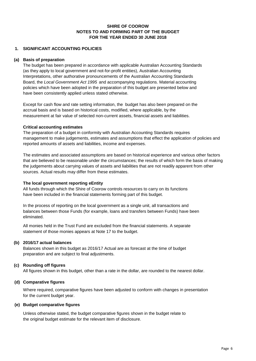## **1. SIGNIFICANT ACCOUNTING POLICIES**

#### **(a) Basis of preparation**

The budget has been prepared in accordance with applicable Australian Accounting Standards (as they apply to local government and not-for-profit entities), Australian Accounting Interpretations, other authorative pronouncements of the Australian Accounting Standards Board, the *Local Government Act 1995* and accompanying regulations. Material accounting policies which have been adopted in the preparation of this budget are presented below and have been consistently applied unless stated otherwise.

Except for cash flow and rate setting information, the budget has also been prepared on the accrual basis and is based on historical costs, modified, where applicable, by the measurement at fair value of selected non-current assets, financial assets and liabilities.

## **Critical accounting estimates**

The preparation of a budget in conformity with Australian Accounting Standards requires management to make judgements, estimates and assumptions that effect the application of policies and reported amounts of assets and liabilities, income and expenses.

The estimates and associated assumptions are based on historical experience and various other factors that are believed to be reasonable under the circumstances; the results of which form the basis of making the judgements about carrying values of assets and liabilities that are not readily apparent from other sources. Actual results may differ from these estimates.

#### **The local government reporting eEntity**

All funds through which the Shire of Coorow controls resources to carry on its functions have been included in the financial statements forming part of this budget.

In the process of reporting on the local government as a single unit, all transactions and balances between those Funds (for example, loans and transfers between Funds) have been eliminated.

All monies held in the Trust Fund are excluded from the financial statements. A separate statement of those monies appears at Note 17 to the budget.

## **(b) 2016/17 actual balances**

Balances shown in this budget as 2016/17 Actual are as forecast at the time of budget preparation and are subject to final adjustments.

## **(c) Rounding off figures**

All figures shown in this budget, other than a rate in the dollar, are rounded to the nearest dollar.

#### **(d) Comparative figures**

Where required, comparative figures have been adjusted to conform with changes in presentation for the current budget year.

#### **(e) Budget comparative figures**

Unless otherwise stated, the budget comparative figures shown in the budget relate to the original budget estimate for the relevant item of disclosure.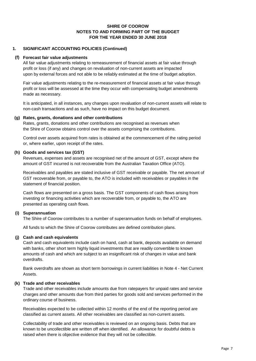## **1. SIGNIFICANT ACCOUNTING POLICIES (Continued)**

#### **(f) Forecast fair value adjustments**

All fair value adjustments relating to remeasurement of financial assets at fair value through profit or loss (if any) and changes on revaluation of non-current assets are impacted upon by external forces and not able to be reliably estimated at the time of budget adoption.

Fair value adjustments relating to the re-measurement of financial assets at fair value through profit or loss will be assessed at the time they occur with compensating budget amendments made as necessary.

It is anticipated, in all instances, any changes upon revaluation of non-current assets will relate to non-cash transactions and as such, have no impact on this budget document.

#### **(g) Rates, grants, donations and other contributions**

Rates, grants, donations and other contributions are recognised as revenues when the Shire of Coorow obtains control over the assets comprising the contributions.

Control over assets acquired from rates is obtained at the commencement of the rating period or, where earlier, upon receipt of the rates.

## **(h) Goods and services tax (GST)**

Revenues, expenses and assets are recognised net of the amount of GST, except where the amount of GST incurred is not recoverable from the Australian Taxation Office (ATO).

Receivables and payables are stated inclusive of GST receivable or payable. The net amount of GST recoverable from, or payable to, the ATO is included with receivables or payables in the statement of financial position.

Cash flows are presented on a gross basis. The GST components of cash flows arising from investing or financing activities which are recoverable from, or payable to, the ATO are presented as operating cash flows.

## **(i) Superannuation**

The Shire of Coorow contributes to a number of superannuation funds on behalf of employees.

All funds to which the Shire of Coorow contributes are defined contribution plans.

## **(j) Cash and cash equivalents**

Cash and cash equivalents include cash on hand, cash at bank, deposits available on demand with banks, other short term highly liquid investments that are readily convertible to known amounts of cash and which are subject to an insignificant risk of changes in value and bank overdrafts.

Bank overdrafts are shown as short term borrowings in current liabilities in Note 4 - Net Current Assets.

## **(k) Trade and other receivables**

Trade and other receivables include amounts due from ratepayers for unpaid rates and service charges and other amounts due from third parties for goods sold and services performed in the ordinary course of business.

Receivables expected to be collected within 12 months of the end of the reporting period are classified as current assets. All other receivables are classified as non-current assets.

Collectability of trade and other receivables is reviewed on an ongoing basis. Debts that are known to be uncollectible are written off when identified. An allowance for doubtful debts is raised when there is objective evidence that they will not be collectible.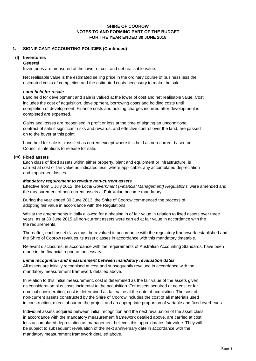## **1. SIGNIFICANT ACCOUNTING POLICIES (Continued)**

#### **(l) Inventories**

#### *General*

Inventories are measured at the lower of cost and net realisable value.

Net realisable value is the estimated selling price in the ordinary course of business less the estimated costs of completion and the estimated costs necessary to make the sale.

## *Land held for resale*

Land held for development and sale is valued at the lower of cost and net realisable value. Cost includes the cost of acquisition, development, borrowing costs and holding costs until completion of development. Finance costs and holding charges incurred after development is completed are expensed.

Gains and losses are recognised in profit or loss at the time of signing an unconditional contract of sale if significant risks and rewards, and effective control over the land, are passed on to the buyer at this point.

Land held for sale is classified as current except where it is held as non-current based on Council's intentions to release for sale.

#### **(m) Fixed assets**

Each class of fixed assets within either property, plant and equipment or infrastructure, is carried at cost or fair value as indicated less, where applicable, any accumulated depreciation and impairment losses.

#### *Mandatory requirement to revalue non-current assets*

Effective from 1 July 2012, the *Local Government (Financial Management) Regulations* were amended and the measurement of non-current assets at Fair Value became mandatory.

During the year ended 30 June 2013, the Shire of Coorow commenced the process of adopting fair value in accordance with the Regulations.

Whilst the amendments initially allowed for a phasing in of fair value in relation to fixed assets over three years, as at 30 June 2015 all non-current assets were carried at fair value in accordance with the the requirements.

Thereafter, each asset class must be revalued in accordance with the regulatory framework established and the Shire of Coorow revalues its asset classes in accordance with this mandatory timetable.

Relevant disclosures, in accordance with the requirements of Australian Accounting Standards, have been made in the financial report as necessary.

#### *Initial recognition and measurement between mandatory revaluation dates*

All assets are initially recognised at cost and subsequently revalued in accordance with the mandatory measurement framework detailed above.

In relation to this initial measurement, cost is determined as the fair value of the assets given as consideration plus costs incidental to the acquisition. For assets acquired at no cost or for nominal consideration, cost is determined as fair value at the date of acquisition. The cost of non-current assets constructed by the Shire of Coorow includes the cost of all materials used in construction, direct labour on the project and an appropriate proportion of variable and fixed overheads.

Individual assets acquired between initial recognition and the next revaluation of the asset class in accordance with the mandatory measurement framework detailed above, are carried at cost less accumulated depreciation as management believes this approximates fair value. They will be subject to subsequent revaluation of the next anniversary date in accordance with the mandatory measurement framework detailed above.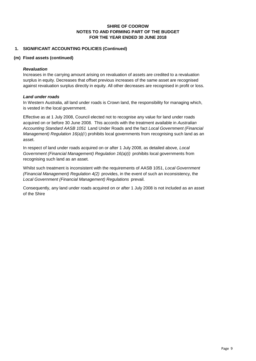## **FOR THE YEAR ENDED 30 JUNE 2018 SHIRE OF COOROW NOTES TO AND FORMING PART OF THE BUDGET**

## **1. SIGNIFICANT ACCOUNTING POLICIES (Continued)**

#### **(m) Fixed assets (continued)**

#### *Revaluation*

Increases in the carrying amount arising on revaluation of assets are credited to a revaluation surplus in equity. Decreases that offset previous increases of the same asset are recognised against revaluation surplus directly in equity. All other decreases are recognised in profit or loss.

## *Land under roads*

In Western Australia, all land under roads is Crown land, the responsibility for managing which, is vested in the local government.

Effective as at 1 July 2008, Council elected not to recognise any value for land under roads acquired on or before 30 June 2008. This accords with the treatment available in *Australian Accounting Standard AASB 1051* Land Under Roads and the fact *Local Government (Financial Management) Regulation 16(a)(i)* prohibits local governments from recognising such land as an asset.

In respect of land under roads acquired on or after 1 July 2008, as detailed above, *Local Government (Financial Management) Regulation 16(a)(i)* prohibits local governments from recognising such land as an asset.

Whilst such treatment is inconsistent with the requirements of AASB 1051, *Local Government (Financial Management) Regulation 4(2)* provides, in the event of such an inconsistency, the *Local Government (Financial Management) Regulations* prevail.

Consequently, any land under roads acquired on or after 1 July 2008 is not included as an asset of the Shire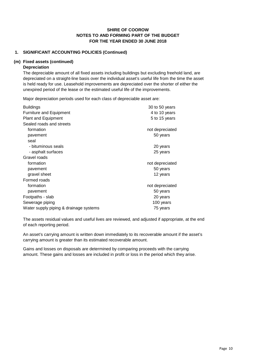## **1. SIGNIFICANT ACCOUNTING POLICIES (Continued)**

#### **(m) Fixed assets (continued)**

#### **Depreciation**

The depreciable amount of all fixed assets including buildings but excluding freehold land, are depreciated on a straight-line basis over the individual asset's useful life from the time the asset is held ready for use. Leasehold improvements are depreciated over the shorter of either the unexpired period of the lease or the estimated useful life of the improvements.

Major depreciation periods used for each class of depreciable asset are:

| <b>Buildings</b>                       | 30 to 50 years  |
|----------------------------------------|-----------------|
| <b>Furniture and Equipment</b>         | 4 to 10 years   |
| <b>Plant and Equipment</b>             | 5 to 15 years   |
| Sealed roads and streets               |                 |
| formation                              | not depreciated |
| pavement                               | 50 years        |
| seal                                   |                 |
| - bituminous seals                     | 20 years        |
| - asphalt surfaces                     | 25 years        |
| Gravel roads                           |                 |
| formation                              | not depreciated |
| pavement                               | 50 years        |
| gravel sheet                           | 12 years        |
| Formed roads                           |                 |
| formation                              | not depreciated |
| pavement                               | 50 years        |
| Footpaths - slab                       | 20 years        |
| Sewerage piping                        | 100 years       |
| Water supply piping & drainage systems | 75 years        |

The assets residual values and useful lives are reviewed, and adjusted if appropriate, at the end of each reporting period.

An asset's carrying amount is written down immediately to its recoverable amount if the asset's carrying amount is greater than its estimated recoverable amount.

Gains and losses on disposals are determined by comparing proceeds with the carrying amount. These gains and losses are included in profit or loss in the period which they arise.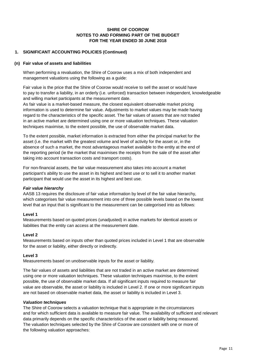## **1. SIGNIFICANT ACCOUNTING POLICIES (Continued)**

#### **(n) Fair value of assets and liabilities**

When performing a revaluation, the Shire of Coorow uses a mix of both independent and management valuations using the following as a guide:

Fair value is the price that the Shire of Coorow would receive to sell the asset or would have to pay to transfer a liability, in an orderly (i.e. unforced) transaction between independent, knowledgeable and willing market participants at the measurement date.

As fair value is a market-based measure, the closest equivalent observable market pricing information is used to determine fair value. Adjustments to market values may be made having regard to the characteristics of the specific asset. The fair values of assets that are not traded in an active market are determined using one or more valuation techniques. These valuation techniques maximise, to the extent possible, the use of observable market data.

To the extent possible, market information is extracted from either the principal market for the asset (i.e. the market with the greatest volume and level of activity for the asset or, in the absence of such a market, the most advantageous market available to the entity at the end of the reporting period (ie the market that maximises the receipts from the sale of the asset after taking into account transaction costs and transport costs).

For non-financial assets, the fair value measurement also takes into account a market participant's ability to use the asset in its highest and best use or to sell it to another market participant that would use the asset in its highest and best use.

## *Fair value hierarchy*

AASB 13 requires the disclosure of fair value information by level of the fair value hierarchy, which categorises fair value measurement into one of three possible levels based on the lowest level that an input that is significant to the measurement can be categorised into as follows:

## **Level 1**

Measurements based on quoted prices (unadjusted) in active markets for identical assets or liabilities that the entity can access at the measurement date.

## **Level 2**

Measurements based on inputs other than quoted prices included in Level 1 that are observable for the asset or liability, either directly or indirectly.

## **Level 3**

Measurements based on unobservable inputs for the asset or liability.

The fair values of assets and liabilities that are not traded in an active market are determined using one or more valuation techniques. These valuation techniques maximise, to the extent possible, the use of observable market data. If all significant inputs required to measure fair value are observable, the asset or liability is included in Level 2. If one or more significant inputs are not based on observable market data, the asset or liability is included in Level 3.

#### *Valuation techniques*

The Shire of Coorow selects a valuation technique that is appropriate in the circumstances and for which sufficient data is available to measure fair value. The availability of sufficient and relevant data primarily depends on the specific characteristics of the asset or liability being measured. The valuation techniques selected by the Shire of Coorow are consistent with one or more of the following valuation approaches: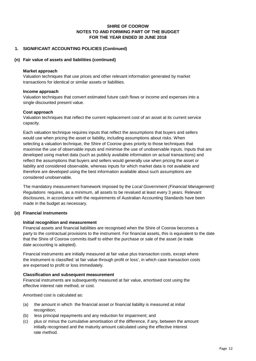## **1. SIGNIFICANT ACCOUNTING POLICIES (Continued)**

#### **(n) Fair value of assets and liabilities (continued)**

#### **Market approach**

Valuation techniques that use prices and other relevant information generated by market transactions for identical or similar assets or liabilities.

#### **Income approach**

Valuation techniques that convert estimated future cash flows or income and expenses into a single discounted present value.

#### **Cost approach**

Valuation techniques that reflect the current replacement cost of an asset at its current service capacity.

Each valuation technique requires inputs that reflect the assumptions that buyers and sellers would use when pricing the asset or liability, including assumptions about risks. When selecting a valuation technique, the Shire of Coorow gives priority to those techniques that maximise the use of observable inputs and minimise the use of unobservable inputs. Inputs that are developed using market data (such as publicly available information on actual transactions) and reflect the assumptions that buyers and sellers would generally use when pricing the asset or liability and considered observable, whereas inputs for which market data is not available and therefore are developed using the best information available about such assumptions are considered unobservable.

The mandatory measurement framework imposed by the *Local Government (Financial Management) Regulations* requires, as a minimum, all assets to be revalued at least every 3 years. Relevant disclosures, in accordance with the requirements of Australian Accounting Standards have been made in the budget as necessary.

#### **(o) Financial instruments**

## **Initial recognition and measurement**

Financial assets and financial liabilities are recognised when the Shire of Coorow becomes a party to the contractual provisions to the instrument. For financial assets, this is equivalent to the date that the Shire of Coorow commits itself to either the purchase or sale of the asset (ie trade date accounting is adopted).

Financial instruments are initially measured at fair value plus transaction costs, except where the instrument is classified 'at fair value through profit or loss', in which case transaction costs are expensed to profit or loss immediately.

#### **Classification and subsequent measurement**

Financial instruments are subsequently measured at fair value, amortised cost using the effective interest rate method, or cost.

Amortised cost is calculated as:

- (a) the amount in which the financial asset or financial liability is measured at initial recognition;
- (b) less principal repayments and any reduction for impairment; and
- (c) plus or minus the cumulative amortisation of the difference, if any, between the amount initially recognised and the maturity amount calculated using the effective interest rate method.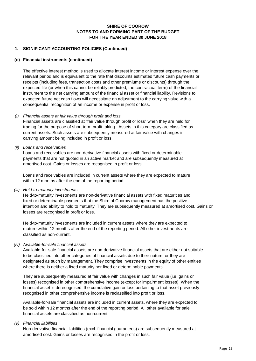## **1. SIGNIFICANT ACCOUNTING POLICIES (Continued)**

## **(o) Financial instruments (continued)**

The effective interest method is used to allocate interest income or interest expense over the relevant period and is equivalent to the rate that discounts estimated future cash payments or receipts (including fees, transaction costs and other premiums or discounts) through the expected life (or when this cannot be reliably predicted, the contractual term) of the financial instrument to the net carrying amount of the financial asset or financial liability. Revisions to expected future net cash flows will necessitate an adjustment to the carrying value with a consequential recognition of an income or expense in profit or loss.

## *(i) Financial assets at fair value through profit and loss*

Financial assets are classified at "fair value through profit or loss" when they are held for trading for the purpose of short term profit taking. Assets in this category are classified as current assets. Such assets are subsequently measured at fair value with changes in carrying amount being included in profit or loss.

## *(ii) Loans and receivables*

Loans and receivables are non-derivative financial assets with fixed or determinable payments that are not quoted in an active market and are subsequently measured at amortised cost. Gains or losses are recognised in profit or loss.

Loans and receivables are included in current assets where they are expected to mature within 12 months after the end of the reporting period.

#### *(iii) Held-to-maturity investments*

Held-to-maturity investments are non-derivative financial assets with fixed maturities and fixed or determinable payments that the Shire of Coorow management has the positive intention and ability to hold to maturity. They are subsequently measured at amortised cost. Gains or losses are recognised in profit or loss.

Held-to-maturity investments are included in current assets where they are expected to mature within 12 months after the end of the reporting period. All other investments are classified as non-current.

## *(iv) Available-for-sale financial assets*

Available-for-sale financial assets are non-derivative financial assets that are either not suitable to be classified into other categories of financial assets due to their nature, or they are designated as such by management. They comprise investments in the equity of other entities where there is neither a fixed maturity nor fixed or determinable payments.

They are subsequently measured at fair value with changes in such fair value (i.e. gains or losses) recognised in other comprehensive income (except for impairment losses). When the financial asset is derecognised, the cumulative gain or loss pertaining to that asset previously recognised in other comprehensive income is reclassified into profit or loss.

Available-for-sale financial assets are included in current assets, where they are expected to be sold within 12 months after the end of the reporting period. All other available for sale financial assets are classified as non-current.

## *(v) Financial liabilities*

Non-derivative financial liabilities (excl. financial guarantees) are subsequently measured at amortised cost. Gains or losses are recognised in the profit or loss.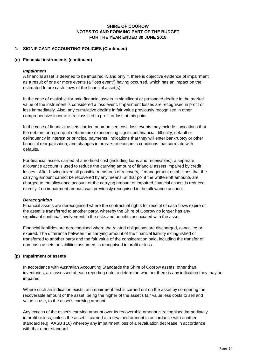## **1. SIGNIFICANT ACCOUNTING POLICIES (Continued)**

## **(o) Financial instruments (continued)**

#### *Impairment*

A financial asset is deemed to be impaired if, and only if, there is objective evidence of impairment as a result of one or more events (a "loss event") having occurred, which has an impact on the estimated future cash flows of the financial asset(s).

In the case of available-for-sale financial assets, a significant or prolonged decline in the market value of the instrument is considered a loss event. Impairment losses are recognised in profit or loss immediately. Also, any cumulative decline in fair value previously recognised in other comprehensive income is reclassified to profit or loss at this point.

In the case of financial assets carried at amortised cost, loss events may include: indications that the debtors or a group of debtors are experiencing significant financial difficulty, default or delinquency in interest or principal payments; indications that they will enter bankruptcy or other financial reorganisation; and changes in arrears or economic conditions that correlate with defaults.

For financial assets carried at amortised cost (including loans and receivables), a separate allowance account is used to reduce the carrying amount of financial assets impaired by credit losses. After having taken all possible measures of recovery, if management establishes that the carrying amount cannot be recovered by any means, at that point the written-off amounts are charged to the allowance account or the carrying amount of impaired financial assets is reduced directly if no impairment amount was previously recognised in the allowance account.

#### *Derecognition*

Financial assets are derecognised where the contractual rights for receipt of cash flows expire or the asset is transferred to another party, whereby the Shire of Coorow no longer has any significant continual involvement in the risks and benefits associated with the asset.

Financial liabilities are derecognised where the related obligations are discharged, cancelled or expired. The difference between the carrying amount of the financial liability extinguished or transferred to another party and the fair value of the consideration paid, including the transfer of non-cash assets or liabilities assumed, is recognised in profit or loss.

## **(p) Impairment of assets**

In accordance with Australian Accounting Standards the Shire of Coorow assets, other than inventories, are assessed at each reporting date to determine whether there is any indication they may be impaired.

Where such an indication exists, an impairment test is carried out on the asset by comparing the recoverable amount of the asset, being the higher of the asset's fair value less costs to sell and value in use, to the asset's carrying amount.

Any excess of the asset's carrying amount over its recoverable amount is recognised immediately in profit or loss, unless the asset is carried at a revalued amount in accordance with another standard (e.g. AASB 116) whereby any impairment loss of a revaluation decrease in accordance with that other standard.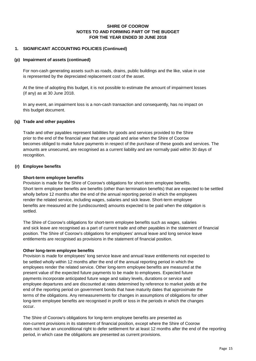## **1. SIGNIFICANT ACCOUNTING POLICIES (Continued)**

## **(p) Impairment of assets (continued)**

For non-cash generating assets such as roads, drains, public buildings and the like, value in use is represented by the depreciated replacement cost of the asset.

At the time of adopting this budget, it is not possible to estimate the amount of impairment losses (if any) as at 30 June 2018.

In any event, an impairment loss is a non-cash transaction and consequently, has no impact on this budget document.

## **(q) Trade and other payables**

Trade and other payables represent liabilities for goods and services provided to the Shire prior to the end of the financial year that are unpaid and arise when the Shire of Coorow becomes obliged to make future payments in respect of the purchase of these goods and services. The amounts are unsecured, are recognised as a current liability and are normally paid within 30 days of recognition.

#### **(r) Employee benefits**

#### **Short-term employee benefits**

Provision is made for the Shire of Coorow's obligations for short-term employee benefits. Short term employee benefits are benefits (other than termination benefits) that are expected to be settled wholly before 12 months after the end of the annual reporting period in which the employees render the related service, including wages, salaries and sick leave. Short-term employee benefits are measured at the (undiscounted) amounts expected to be paid when the obligation is settled.

The Shire of Coorow's obligations for short-term employee benefits such as wages, salaries and sick leave are recognised as a part of current trade and other payables in the statement of financial position. The Shire of Coorow's obligations for employees' annual leave and long service leave entitlements are recognised as provisions in the statement of financial position.

#### **Other long-term employee benefits**

Provision is made for employees' long service leave and annual leave entitlements not expected to be settled wholly within 12 months after the end of the annual reporting period in which the employees render the related service. Other long-term employee benefits are measured at the present value of the expected future payments to be made to employees. Expected future payments incorporate anticipated future wage and salary levels, durations or service and employee departures and are discounted at rates determined by reference to market yields at the end of the reporting period on government bonds that have maturity dates that approximate the terms of the obligations. Any remeasurements for changes in assumptions of obligations for other long-term employee benefits are recognised in profit or loss in the periods in which the changes occur.

The Shire of Coorow's obligations for long-term employee benefits are presented as non-current provisions in its statement of financial position, except where the Shire of Coorow does not have an unconditional right to defer settlement for at least 12 months after the end of the reporting period, in which case the obligations are presented as current provisions.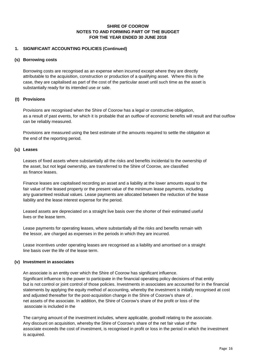## **1. SIGNIFICANT ACCOUNTING POLICIES (Continued)**

#### **(s) Borrowing costs**

Borrowing costs are recognised as an expense when incurred except where they are directly attributable to the acquisition, construction or production of a qualifying asset. Where this is the case, they are capitalised as part of the cost of the particular asset until such time as the asset is substantially ready for its intended use or sale.

## **(t) Provisions**

Provisions are recognised when the Shire of Coorow has a legal or constructive obligation, as a result of past events, for which it is probable that an outflow of economic benefits will result and that outflow can be reliably measured.

Provisions are measured using the best estimate of the amounts required to settle the obligation at the end of the reporting period.

#### **(u) Leases**

Leases of fixed assets where substantially all the risks and benefits incidental to the ownership of the asset, but not legal ownership, are transferred to the Shire of Coorow, are classified as finance leases.

Finance leases are capitalised recording an asset and a liability at the lower amounts equal to the fair value of the leased property or the present value of the minimum lease payments, including any guaranteed residual values. Lease payments are allocated between the reduction of the lease liability and the lease interest expense for the period.

Leased assets are depreciated on a straight live basis over the shorter of their estimated useful lives or the lease term.

Lease payments for operating leases, where substantially all the risks and benefits remain with the lessor, are charged as expenses in the periods in which they are incurred.

Lease incentives under operating leases are recognised as a liability and amortised on a straight line basis over the life of the lease term.

## **(v) Investment in associates**

An associate is an entity over which the Shire of Coorow has significant influence. Significant influence is the power to participate in the financial operating policy decisions of that entity but is not control or joint control of those policies. Investments in associates are accounted for in the financial statements by applying the equity method of accounting, whereby the investment is initially recognised at cost and adjusted thereafter for the post-acquisition change in the Shire of Coorow's share of . net assets of the associate. In addition, the Shire of Coorow's share of the profit or loss of the associate is included in the

The carrying amount of the investment includes, where applicable, goodwill relating to the associate. Any discount on acquisition, whereby the Shire of Coorow's share of the net fair value of the associate exceeds the cost of investment, is recognised in profit or loss in the period in which the investment is acquired.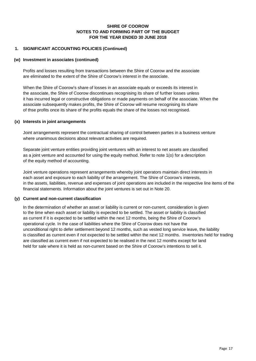## **1. SIGNIFICANT ACCOUNTING POLICIES (Continued)**

## **(w) Investment in associates (continued)**

Profits and losses resulting from transactions between the Shire of Coorow and the associate are eliminated to the extent of the Shire of Coorow's interest in the associate.

When the Shire of Coorow's share of losses in an associate equals or exceeds its interest in the associate, the Shire of Coorow discontinues recognising its share of further losses unless it has incurred legal or constructive obligations or made payments on behalf of the associate. When the associate subsequently makes profits, the Shire of Coorow will resume recognising its share of thse profits once its share of the profits equals the share of the losses not recognised.

## **(x) Interests in joint arrangements**

Joint arrangements represent the contractual sharing of control between parties in a business venture where unanimous decisions about relevant activities are required.

Separate joint venture entities providing joint venturers with an interest to net assets are classified as a joint venture and accounted for using the equity method. Refer to note 1(o) for a description of the equity method of accounting.

Joint venture operations represent arrangements whereby joint operators maintain direct interests in each asset and exposure to each liability of the arrangement. The Shire of Coorow's interests, in the assets, liabilities, revenue and expenses of joint operations are included in the respective line items of the financial statements. Information about the joint ventures is set out in Note 20.

## **(y) Current and non-current classification**

In the determination of whether an asset or liability is current or non-current, consideration is given to the time when each asset or liability is expected to be settled. The asset or liability is classified as current if it is expected to be settled within the next 12 months, being the Shire of Coorow's operational cycle. In the case of liabilities where the Shire of Coorow does not have the unconditional right to defer settlement beyond 12 months, such as vested long service leave, the liability is classified as current even if not expected to be settled within the next 12 months. Inventories held for trading are classified as current even if not expected to be realised in the next 12 months except for land held for sale where it is held as non-current based on the Shire of Coorow's intentions to sell it.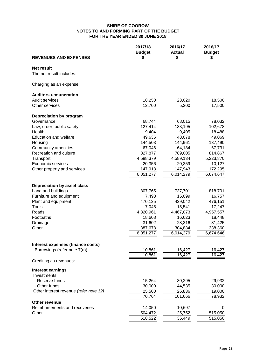| <b>REVENUES AND EXPENSES</b>           | 2017/18<br><b>Budget</b><br>\$ | 2016/17<br><b>Actual</b><br>\$ | 2016/17<br><b>Budget</b><br>S |
|----------------------------------------|--------------------------------|--------------------------------|-------------------------------|
|                                        |                                |                                |                               |
| Net result                             |                                |                                |                               |
| The net result includes:               |                                |                                |                               |
| Charging as an expense:                |                                |                                |                               |
| <b>Auditors remuneration</b>           |                                |                                |                               |
| Audit services                         | 18,250                         | 23,020                         | 18,500                        |
| Other services                         | 12,700                         | 5,200                          | 17,500                        |
| Depreciation by program                |                                |                                |                               |
| Governance                             | 68,744                         | 68,015                         | 78,032                        |
| Law, order, public safety              | 127,414                        | 133,195                        | 102,678                       |
| Health                                 | 9,404                          | 9,405                          | 18,488                        |
| <b>Education and welfare</b>           | 49,636                         | 48,078                         | 49,069                        |
| Housing                                | 144,503                        | 144,961                        | 137,490                       |
| Community amenities                    | 67,046                         | 64,184                         | 67,731                        |
| Recreation and culture                 | 827,877                        | 789,005                        | 814,867                       |
| Transport                              | 4,588,379                      | 4,589,134                      | 5,223,870                     |
| Economic services                      | 20,356                         | 20,359                         | 10,127                        |
| Other property and services            | 147,918                        | 147,943                        | 172,295                       |
|                                        | 6,051,277                      | 6,014,279                      | 6,674,647                     |
| Depreciation by asset class            |                                |                                |                               |
| Land and buildings                     | 807,765                        | 737,701                        | 818,701                       |
| Furniture and equipment                | 7,493                          | 15,099                         | 16,757                        |
| Plant and equipment                    | 470,125                        | 429,042                        | 476,151                       |
| <b>Tools</b>                           | 7,045                          | 15,541                         | 17,247                        |
| Roads                                  | 4,320,961                      | 4,467,073                      | 4,957,557                     |
| Footpaths                              | 18,608                         | 16,623                         | 18,448                        |
| Drainage                               | 31,602                         | 28,316                         | 31,425                        |
| Other                                  | 387,678                        | 304,884                        | 338,360                       |
|                                        | 6,051,277                      | 6,014,279                      | 6,674,646                     |
| Interest expenses (finance costs)      |                                |                                |                               |
| - Borrowings (refer note 7(a))         | 10,861                         | 16,427                         | 16,427                        |
|                                        | 10,861                         | 16,427                         | 16,427                        |
| Crediting as revenues:                 |                                |                                |                               |
| <b>Interest earnings</b>               |                                |                                |                               |
| Investments                            |                                |                                |                               |
| - Reserve funds                        | 15,264                         | 30,295                         | 29,932                        |
| - Other funds                          | 30,000                         | 44,535                         | 30,000                        |
| Other interest revenue (refer note 12) | 25,500                         | 26,836                         | 19,000                        |
|                                        | 70,764                         | 101,666                        | 78,932                        |
| Other revenue                          |                                |                                |                               |
| Reimbursements and recoveries<br>Other | 14,050<br>504,472              | 10,697<br>25,752               | 0<br>515,050                  |
|                                        | 518,522                        | 36,449                         | 515,050                       |
|                                        |                                |                                |                               |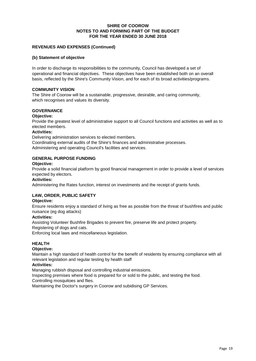## **FOR THE YEAR ENDED 30 JUNE 2018 SHIRE OF COOROW NOTES TO AND FORMING PART OF THE BUDGET**

## **REVENUES AND EXPENSES (Continued)**

#### **(b) Statement of objective**

In order to discharge its responsibilities to the community, Council has developed a set of operational and financial objectives. These objectives have been established both on an overall basis, reflected by the Shire's Community Vision, and for each of its broad activities/programs.

#### **COMMUNITY VISION**

The Shire of Coorow will be a sustainable, progressive, desirable, and caring community, which recognises and values its diversity.

## **GOVERNANCE**

#### **Objective:**

Provide the greatest level of administrative support to all Council functions and activities as well as to elected members.

#### **Activities:**

Delivering administration services to elected members.

Coordinating external audits of the Shire's finances and administrative processes. Administering and operating Council's facilities and services.

## **GENERAL PURPOSE FUNDING**

#### **Objective:**

Provide a solid financial platform by good financial management in order to provide a level of services expected by electors.

#### **Activities:**

Administering the Rates function, interest on investments and the receipt of grants funds.

## **LAW, ORDER, PUBLIC SAFETY**

#### **Objective:**

Ensure residents enjoy a standard of living as free as possible from the threat of bushfires and public nuisance (eg dog attacks)

#### **Activities:**

Assisting Volunteer Bushfire Brigades to prevent fire, preserve life and protect property.

Registering of dogs and cats.

Enforcing local laws and miscellaneous legislation.

## **HEALTH**

#### **Objective:**

Maintain a high standard of health control for the benefit of residents by ensuring compliance with all relevant legislation and regular testing by health staff

#### **Activities:**

Managing rubbish disposal and controlling industrial emissions.

Inspecting premises where food is prepared for or sold to the public, and testing the food.

Controlling mosquitoes and flies.

Maintaining the Doctor's surgery in Coorow and subidising GP Services.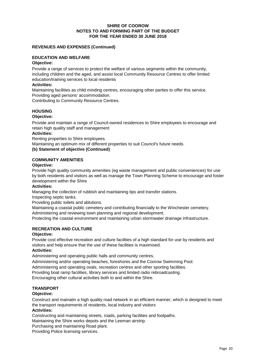## **REVENUES AND EXPENSES (Continued)**

## **EDUCATION AND WELFARE**

## **Objective:**

Provide a range of services to protect the welfare of various segments within the community, including children and the aged, and assist local Community Resource Centres to offer limited education/training services to local residents

#### **Activities:**

Maintaining facilities as child minding centres, encouraging other parties to offer this service. Providing aged persons' accommodation.

Contributing to Community Resource Centres.

## **HOUSING**

## **Objective:**

Provide and maintain a range of Council-owned residences to Shire employees to encourage and retain high quality staff and management

## **Activities:**

Renting properties to Shire employees.

Maintaining an optimum mix of different properties to suit Council's future needs.

#### **(b) Statement of objective (Continued)**

## **COMMUNITY AMENITIES**

#### **Objective:**

Provide high quality community amenities (eg waste management and public conveniences) for use by both residents and visitors as well as manage the Town Planning Scheme to encourage and foster development within the Shire

#### **Activities:**

Managing the collection of rubbish and maintaining tips and transfer stations.

Inspecting septic tanks.

Providing public toilets and ablutions.

Maintaining a coastal public cemetery and contributing financially to the Winchester cemetery. Administering and reviewing town planning and regional development.

Protecting the coastal environment and maintaining urban stormwater drainage infrastructure.

## **RECREATION AND CULTURE**

#### **Objective:**

Provide cost effective recreation and culture facilities of a high standard for use by residents and visitors and help ensure that the use of these facilities is maximised.

#### **Activities:**

Administering and operating public halls and community centres.

Administering and/or operating beaches, foreshores and the Coorow Swimming Pool.

Administering and operating ovals, recreation centres and other sporting facilities.

Providing boat ramp facilities, library services and limited radio rebroadcasting.

Encouraging other cultural activities both to and within the Shire.

## **TRANSPORT**

## **Objective:**

Construct and mainatin a high quality road network in an efficient manner, which is designed to meet the transport requirements of residents, local industry and visitors

## **Activities:**

Constructing and maintaining streets, roads, parking facilities and footpaths.

Maintaining the Shire works depots and the Leeman airstrip.

Purchasing and maintaining Road plant.

Providing Police licensing services.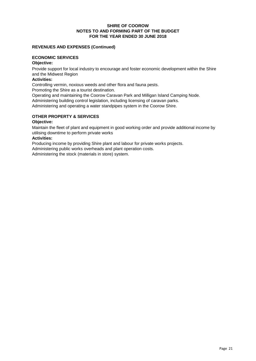## **NOTES TO AND FORMING PART OF THE BUDGET FOR THE YEAR ENDED 30 JUNE 2018 SHIRE OF COOROW**

## **REVENUES AND EXPENSES (Continued)**

## **ECONOMIC SERVICES**

## **Objective:**

Provide support for local industry to encourage and foster economic development within the Shire and the Midwest Region

## **Activities:**

Controlling vermin, noxious weeds and other flora and fauna pests.

Promoting the Shire as a tourist destination.

Operating and maintaining the Coorow Caravan Park and Milligan Island Camping Node.

Administering building control legislation, including licensing of caravan parks.

Administering and operating a water standpipes system in the Coorow Shire.

## **OTHER PROPERTY & SERVICES**

## **Objective:**

Maintain the fleet of plant and equipment in good working order and provide additional income by utilising downtime to perform private works

## **Activities:**

Producing income by providing Shire plant and labour for private works projects.

Administering public works overheads and plant operation costs.

Administering the stock (materials in store) system.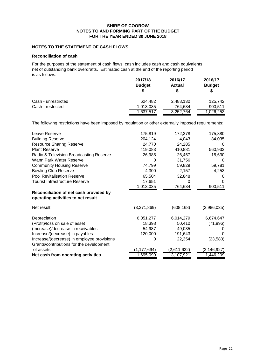## **NOTES TO THE STATEMENT OF CASH FLOWS**

#### **Reconciliation of cash**

For the purposes of the statement of cash flows, cash includes cash and cash equivalents, net of outstanding bank overdrafts. Estimated cash at the end of the reporting period is as follows:

|                     | 2017/18<br><b>Budget</b> | 2016/17<br><b>Actual</b> | 2016/17<br><b>Budget</b> |
|---------------------|--------------------------|--------------------------|--------------------------|
| Cash - unrestricted | 624.482                  | 2,488,130                | 125.742                  |
| Cash - restricted   | 1,013,035                | 764,634                  | 900,511                  |
|                     | 1,637,517                | 3,252,764                | 1,026,253                |

The following restrictions have been imposed by regulation or other externally imposed requirements:

| Leave Reserve                                                                | 175,819       | 172,378     | 175,880      |
|------------------------------------------------------------------------------|---------------|-------------|--------------|
| <b>Building Reserve</b>                                                      | 204,124       | 4,043       | 84,035       |
| <b>Resource Sharing Reserve</b>                                              | 24,770        | 24,285      | 0            |
| <b>Plant Reserve</b>                                                         | 419,083       | 410,881     | 560,932      |
| Radio & Television Broadcasting Reserve                                      | 26,985        | 26,457      | 15,630       |
| Wann Park Water Reserve                                                      | 0             | 31,756      | 0            |
| <b>Community Housing Reserve</b>                                             | 74,799        | 59,829      | 59,781       |
| <b>Bowling Club Reserve</b>                                                  | 4,300         | 2,157       | 4,253        |
| <b>Pool Revitalisation Reserve</b>                                           | 65,504        | 32,848      | $\mathbf{0}$ |
| Tourist Infrastructure Reserve                                               | 17,651        | 0           | O            |
|                                                                              | 1,013,035     | 764,634     | 900,511      |
| Reconciliation of net cash provided by<br>operating activities to net result |               |             |              |
| Net result                                                                   | (3,371,869)   | (608, 168)  | (2,986,035)  |
| Depreciation                                                                 | 6,051,277     | 6,014,279   | 6,674,647    |
| (Profit)/loss on sale of asset                                               | 18,398        | 50,410      | (71, 896)    |
| (Increase)/decrease in receivables                                           | 54,987        | 49,035      |              |
| Increase/(decrease) in payables                                              | 120,000       | 191,643     | O            |
| Increase/(decrease) in employee provisions                                   | 0             | 22,354      | (23, 580)    |
| Grants/contributions for the development                                     |               |             |              |
| of assets                                                                    | (1, 177, 694) | (2,611,632) | (2,146,927)  |
| Net cash from operating activities                                           | 1,695,099     | 3,107,921   | 1,446,209    |
|                                                                              |               |             |              |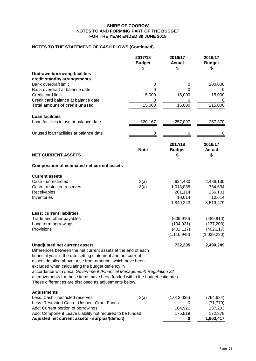## **NOTES TO THE STATEMENT OF CASH FLOWS (Continued)**

|                                                                                                                                                                                                                                                                                                                                                                                                                                                                                                       | 2017/18<br><b>Budget</b><br>S | 2016/17<br><b>Actual</b><br>\$ | 2016/17<br><b>Budget</b><br>S  |
|-------------------------------------------------------------------------------------------------------------------------------------------------------------------------------------------------------------------------------------------------------------------------------------------------------------------------------------------------------------------------------------------------------------------------------------------------------------------------------------------------------|-------------------------------|--------------------------------|--------------------------------|
| <b>Undrawn borrowing facilities</b>                                                                                                                                                                                                                                                                                                                                                                                                                                                                   |                               |                                |                                |
| credit standby arrangements                                                                                                                                                                                                                                                                                                                                                                                                                                                                           |                               |                                |                                |
| Bank overdraft limit                                                                                                                                                                                                                                                                                                                                                                                                                                                                                  | 0                             | 0                              | 200,000                        |
| Bank overdraft at balance date                                                                                                                                                                                                                                                                                                                                                                                                                                                                        | 0                             | 0                              |                                |
| Credit card limit                                                                                                                                                                                                                                                                                                                                                                                                                                                                                     | 15,000                        | 15,000                         | 15,000                         |
| Credit card balance at balance date                                                                                                                                                                                                                                                                                                                                                                                                                                                                   | 0                             | 0                              | 0                              |
| <b>Total amount of credit unused</b>                                                                                                                                                                                                                                                                                                                                                                                                                                                                  | 15,000                        | 15,000                         | 215,000                        |
| <b>Loan facilities</b>                                                                                                                                                                                                                                                                                                                                                                                                                                                                                |                               |                                |                                |
| Loan facilities in use at balance date                                                                                                                                                                                                                                                                                                                                                                                                                                                                | 120,167                       | 257,097                        | 257,370                        |
| Unused Ioan facilities at balance date                                                                                                                                                                                                                                                                                                                                                                                                                                                                | 0                             | 0                              | 0                              |
| <b>NET CURRENT ASSETS</b>                                                                                                                                                                                                                                                                                                                                                                                                                                                                             | <b>Note</b>                   | 2017/18<br><b>Budget</b><br>S  | 2016/17<br><b>Actual</b><br>\$ |
| <b>Composition of estimated net current assets</b>                                                                                                                                                                                                                                                                                                                                                                                                                                                    |                               |                                |                                |
| <b>Current assets</b>                                                                                                                                                                                                                                                                                                                                                                                                                                                                                 |                               |                                |                                |
| Cash - unrestricted                                                                                                                                                                                                                                                                                                                                                                                                                                                                                   | 3(a)                          | 624,480                        | 2,488,130                      |
| Cash - restricted reserves                                                                                                                                                                                                                                                                                                                                                                                                                                                                            | 3(a)                          | 1,013,035                      | 764,634                        |
| Receivables                                                                                                                                                                                                                                                                                                                                                                                                                                                                                           |                               | 201,114                        | 256,101                        |
| Inventories                                                                                                                                                                                                                                                                                                                                                                                                                                                                                           |                               | 10,614                         | 10,614                         |
|                                                                                                                                                                                                                                                                                                                                                                                                                                                                                                       |                               | 1,849,243                      | 3,519,479                      |
| <b>Less: current liabilities</b>                                                                                                                                                                                                                                                                                                                                                                                                                                                                      |                               |                                |                                |
| Trade and other payables                                                                                                                                                                                                                                                                                                                                                                                                                                                                              |                               | (609, 910)                     | (489, 910)                     |
| Long term borrowings                                                                                                                                                                                                                                                                                                                                                                                                                                                                                  |                               | (104, 921)                     | (137, 203)                     |
| Provisions                                                                                                                                                                                                                                                                                                                                                                                                                                                                                            |                               | (402, 117)<br>(1, 116, 948)    | (402, 117)<br>(1,029,230)      |
|                                                                                                                                                                                                                                                                                                                                                                                                                                                                                                       |                               |                                |                                |
| <b>Unadjusted net current assets</b><br>Differences between the net current assets at the end of each<br>financial year in the rate setting statement and net current<br>assets detailed above arise from amounts which have been<br>excluded when calculating the budget defiency in<br>accordance with Local Government (Financial Management) Regulation 32<br>as movements for these items have been funded within the budget estimates.<br>These differences are disclosed as adjustments below. |                               | 732,295                        | 2,490,249                      |
| <b>Adjustments</b>                                                                                                                                                                                                                                                                                                                                                                                                                                                                                    |                               |                                |                                |
| Less: Cash - restricted reserves                                                                                                                                                                                                                                                                                                                                                                                                                                                                      | 3(a)                          | (1,013,035)                    | (764, 634)                     |
| Less: Restricted Cash - Unspent Grant Funds                                                                                                                                                                                                                                                                                                                                                                                                                                                           |                               | 0                              | (71, 779)                      |
| Add: Current portion of borrowings                                                                                                                                                                                                                                                                                                                                                                                                                                                                    |                               | 104,921                        | 137,203                        |
| Add: Component Leave Liability not required to be funded<br>Adjusted net current assets - surplus/(deficit)                                                                                                                                                                                                                                                                                                                                                                                           |                               | 175,819<br>0                   | 172,378<br>1,963,417           |
|                                                                                                                                                                                                                                                                                                                                                                                                                                                                                                       |                               |                                |                                |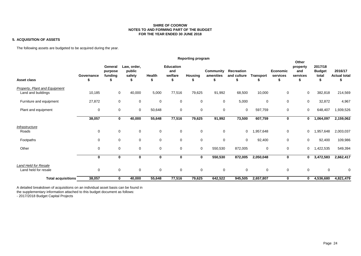#### **5. ACQUISITION OF ASSETS**

The following assets are budgeted to be acquired during the year.

|                                                     | Reporting program |                               |                                 |             |                                    |                     |                        |                           |                  |                             |                                      |                                   |                                |
|-----------------------------------------------------|-------------------|-------------------------------|---------------------------------|-------------|------------------------------------|---------------------|------------------------|---------------------------|------------------|-----------------------------|--------------------------------------|-----------------------------------|--------------------------------|
| <b>Asset class</b>                                  | Governance<br>ъ   | General<br>purpose<br>funding | Law, order,<br>public<br>safety | Health      | <b>Education</b><br>and<br>welfare | <b>Housing</b><br>ъ | Community<br>amenities | Recreation<br>and culture | <b>Transport</b> | <b>Economic</b><br>services | Other<br>property<br>and<br>services | 2017/18<br><b>Budget</b><br>total | 2016/17<br><b>Actual total</b> |
| Property, Plant and Equipment<br>Land and buildings | 10,185            | 0                             | 40,000                          | 5,000       | 77,516                             | 79,625              | 91,992                 | 68,500                    | 10,000           | 0                           | 0                                    | 382,818                           | 214,569                        |
| Furniture and equipment                             | 27,872            | 0                             | $\mathbf 0$                     | $\mathbf 0$ | $\mathbf 0$                        | $\mathbf 0$         | $\mathbf 0$            | 5,000                     | 0                | 0                           | $\mathbf 0$                          | 32,872                            | 4,967                          |
| Plant and equipment                                 | 0                 | 0                             | 0                               | 50,648      | 0                                  | $\mathbf 0$         | $\mathbf 0$            | $\mathbf 0$               | 597,759          | 0                           | 0                                    | 648,407                           | 1,939,526                      |
|                                                     | 38,057            | $\bf{0}$                      | 40,000                          | 55,648      | 77,516                             | 79,625              | 91,992                 | 73,500                    | 607,759          | 0                           | $\bf{0}$                             | 1,064,097                         | 2,159,062                      |
| Infrastructure<br>Roads                             | $\mathbf 0$       | $\mathbf 0$                   | $\mathbf 0$                     | $\mathbf 0$ | $\mathbf 0$                        | $\mathbf 0$         | $\mathbf 0$            | $\mathbf 0$               | 1,957,648        | 0                           | 0                                    | 1,957,648                         | 2,003,037                      |
| Footpaths                                           | 0                 | 0                             | $\mathbf 0$                     | $\mathbf 0$ | $\mathbf 0$                        | $\mathbf 0$         | $\pmb{0}$              | $\mathbf 0$               | 92,400           | 0                           | $\Omega$                             | 92,400                            | 109,986                        |
| Other                                               | $\mathbf 0$       | $\mathbf 0$                   | $\mathbf 0$                     | $\mathbf 0$ | $\mathbf 0$                        | $\mathbf 0$         | 550,530                | 872,005                   | 0                | 0                           | 0                                    | 1,422,535                         | 549,394                        |
|                                                     | 0                 | $\bf{0}$                      | $\mathbf{0}$                    | $\mathbf 0$ | $\bf{0}$                           | 0                   | 550,530                | 872,005                   | 2,050,048        | 0                           | 0                                    | 3,472,583                         | 2,662,417                      |
| Land Held for Resale<br>Land held for resale        | 0                 | 0                             | $\mathbf 0$                     | $\mathbf 0$ | 0                                  | $\mathbf 0$         | 0                      | $\mathbf 0$               | 0                | 0                           | 0                                    | $\mathbf 0$                       | 0                              |
| <b>Total acquisitions</b>                           | 38,057            | $\bf{0}$                      | 40,000                          | 55,648      | 77,516                             | 79,625              | 642,522                | 945,505                   | 2,657,807        | 0                           | $\mathbf 0$                          | 4,536,680                         | 4,821,479                      |

A detailed breakdown of acquisitions on an individual asset basis can be found in

the supplementary information attached to this budget document as follows:

- 2017/2018 Budget Capital Projects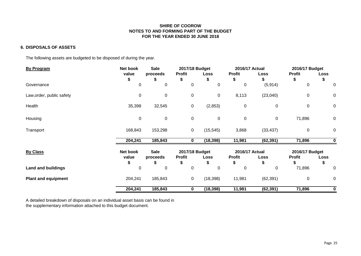## **6. DISPOSALS OF ASSETS**

The following assets are budgeted to be disposed of during the year.

| <b>By Program</b>          | Net book | <b>Sale</b> | 2017/18 Budget |             | 2016/17 Actual |             | 2016/17 Budget |      |
|----------------------------|----------|-------------|----------------|-------------|----------------|-------------|----------------|------|
|                            | value    | proceeds    | <b>Profit</b>  | Loss        | <b>Profit</b>  | Loss        | <b>Profit</b>  | Loss |
|                            | \$       | ъ           | S              | æ.          | \$             | S           | \$             | 5    |
| Governance                 | 0        | 0           | 0              | 0           | 0              | (5, 914)    | 0              | 0    |
| Law, order, public safety  | 0        | $\mathbf 0$ | 0              | $\pmb{0}$   | 8,113          | (23,040)    | $\pmb{0}$      | 0    |
| Health                     | 35,398   | 32,545      | 0              | (2,853)     | $\pmb{0}$      | $\mathbf 0$ | $\mathbf 0$    | 0    |
| Housing                    | 0        | $\mathbf 0$ | 0              | $\mathbf 0$ | $\mathbf 0$    | 0           | 71,896         | 0    |
| Transport                  | 168,843  | 153,298     | 0              | (15, 545)   | 3,868          | (33, 437)   | $\mathbf 0$    | 0    |
|                            | 204,241  | 185,843     | 0              | (18, 398)   | 11,981         | (62, 391)   | 71,896         | 0    |
| <b>By Class</b>            | Net book | <b>Sale</b> | 2017/18 Budget |             | 2016/17 Actual |             | 2016/17 Budget |      |
|                            | value    | proceeds    | <b>Profit</b>  | Loss        | <b>Profit</b>  | Loss        | <b>Profit</b>  | Loss |
|                            |          |             |                |             | S              |             |                | S    |
| <b>Land and buildings</b>  | 0        | 0           | 0              | 0           | 0              | 0           | 71,896         | 0    |
| <b>Plant and equipment</b> | 204,241  | 185,843     | $\mathbf 0$    | (18, 398)   | 11,981         | (62, 391)   | 0              | 0    |
|                            | 204,241  | 185,843     | 0              | (18, 398)   | 11,981         | (62, 391)   | 71,896         | 0    |

A detailed breakdown of disposals on an individual asset basis can be found in the supplementary information attached to this budget document.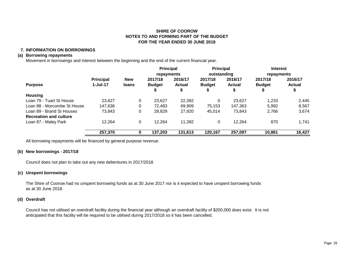## **7. INFORMATION ON BORROWINGS**

#### **(a) Borrowing repayments**

Movement in borrowings and interest between the beginning and the end of the current financial year.

|                               |                  |            | <b>Principal</b> |               | <b>Principal</b> |               | <b>Interest</b> |               |
|-------------------------------|------------------|------------|------------------|---------------|------------------|---------------|-----------------|---------------|
|                               |                  |            | repayments       |               | outstanding      |               | repayments      |               |
|                               | <b>Principal</b> | <b>New</b> | 2017/18          | 2016/17       | 2017/18          | 2016/17       | 2017/18         | 2016/17       |
| <b>Purpose</b>                | $1-Jul-17$       | loans      | <b>Budget</b>    | <b>Actual</b> | <b>Budget</b>    | <b>Actual</b> | <b>Budget</b>   | <b>Actual</b> |
|                               |                  |            |                  | \$            | \$               | ₽             | ₽               | ₽             |
| Housing                       |                  |            |                  |               |                  |               |                 |               |
| Loan 79 - Tuart St House      | 23,627           | $\Omega$   | 23,627           | 22,392        | 0                | 23.627        | 1,233           | 2,445         |
| Loan 88 - Morcombe St House   | 147,636          | 0          | 72.483           | 69.909        | 75,153           | 147.363       | 5.992           | 8,567         |
| Loan 89 - Brand St Houses     | 73,843           | 0          | 28,829           | 27,920        | 45,014           | 73,843        | 2,766           | 3,674         |
| <b>Recreation and culture</b> |                  |            |                  |               |                  |               |                 |               |
| Loan 87 - Maley Park          | 12,264           | 0          | 12,264           | 11,392        | 0                | 12,264        | 870             | 1,741         |
|                               | 257,370          |            | 137,203          | 131,613       | 120,167          | 257,097       | 10,861          | 16,427        |

All borrowing repayments will be financed by general purpose revenue.

## **(b) New borrowings - 2017/18**

Council does not plan to take out any new debentures in 2017/2018.

## **(c) Unspent borrowings**

The Shire of Coorow had no unspent borrowing funds as at 30 June 2017 nor is it expected to have unspent borrowing funds as at 30 June 2018.

#### **(d) Overdraft**

Council has not utilised an overdraft facility during the financial year although an overdraft facility of \$200,000 does exist. It is not anticipated that this facility will be required to be utilised during 2017/2018 so it has been cancelled.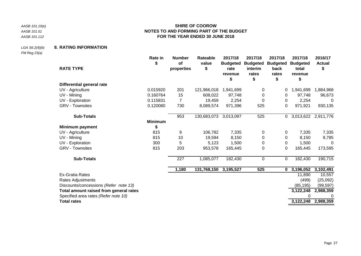*AASB 101.10(e) AASB 101.51 AASB 101.112*

## **SHIRE OF COOROW NOTES TO AND FORMING PART OF THE BUDGET FOR THE YEAR ENDED 30 JUNE 2018**

## *LGA S6.2(4)(b)* **8. RATING INFORMATION**

*FM Reg 23(a)*

|                                        | Rate in<br>\$  | <b>Number</b><br>of | Rateable<br>value     | 2017/18<br><b>Budgeted</b> | 2017/18<br><b>Budgeted</b> | 2017/18<br><b>Budgeted</b> | 2017/18<br><b>Budgeted</b> | 2016/17<br><b>Actual</b> |
|----------------------------------------|----------------|---------------------|-----------------------|----------------------------|----------------------------|----------------------------|----------------------------|--------------------------|
| <b>RATE TYPE</b>                       |                | properties          | \$                    | rate<br>revenue<br>\$      | interim<br>rates<br>\$     | back<br>rates<br>\$        | total<br>revenue<br>\$     | \$                       |
| <b>Differential general rate</b>       |                |                     |                       |                            |                            |                            |                            |                          |
| UV - Agriculture                       | 0.015920       | 201                 | 121,966,018           | 1,941,699                  | 0                          | 0                          | 1,941,699                  | 1,884,968                |
| UV - Mining                            | 0.160764       | 15                  | 608,022               | 97,748                     | 0                          | 0                          | 97,748                     | 96,673                   |
| UV - Exploration                       | 0.115831       | 7                   | 19,459                | 2,254                      | 0                          | 0                          | 2,254                      | 0                        |
| <b>GRV - Townsites</b>                 | 0.120080       | 730                 | 8,089,574             | 971,396                    | 525                        | 0                          | 971,921                    | 930,135                  |
| <b>Sub-Totals</b>                      |                | 953                 | 130,683,073           | 3,013,097                  | 525                        | 0                          |                            | 3,013,622 2,911,776      |
|                                        | <b>Minimum</b> |                     |                       |                            |                            |                            |                            |                          |
| Minimum payment                        | \$             |                     |                       |                            |                            |                            |                            |                          |
| UV - Agriculture                       | 815            | 9                   | 106,782               | 7,335                      | 0                          | 0                          | 7,335                      | 7,335                    |
| UV - Mining                            | 815            | 10                  | 19,594                | 8,150                      | 0                          | 0                          | 8,150                      | 9,785                    |
| UV - Exploration                       | 300            | 5                   | 5,123                 | 1,500                      | 0                          | 0                          | 1,500                      | 0                        |
| <b>GRV - Townsites</b>                 | 815            | 203                 | 953,578               | 165,445                    | 0                          | 0                          | 165,445                    | 173,595                  |
| <b>Sub-Totals</b>                      |                | 227                 | 1,085,077             | 182,430                    | $\pmb{0}$                  | 0                          | 182,430                    | 190,715                  |
|                                        |                | 1,180               | 131,768,150 3,195,527 |                            | 525                        | 0                          | 3,196,052                  | 3,102,491                |
| <b>Ex-Gratia Rates</b>                 |                |                     |                       |                            |                            |                            | 11,890                     | 10,557                   |
| Rates Adjustments                      |                |                     |                       |                            |                            |                            | (499)                      | (25,092)                 |
| Discounts/concessions (Refer note 13)  |                |                     |                       |                            |                            |                            | (85, 195)                  | (99, 597)                |
| Total amount raised from general rates |                |                     |                       |                            |                            |                            | 3,122,248                  | 2,988,359                |
| Specified area rates (Refer note 10)   |                |                     |                       |                            |                            |                            |                            |                          |
| <b>Total rates</b>                     |                |                     |                       |                            |                            |                            |                            | 3,122,248 2,988,359      |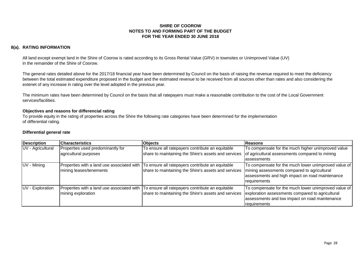## **8(a). RATING INFORMATION**

All land except exempt land in the Shire of Coorow is rated according to its Gross Rental Value (GRV) in townsites or Unimproved Value (UV) in the remainder of the Shire of Coorow.

The general rates detailed above for the 2017/18 financial year have been determined by Council on the basis of raising the revenue required to meet the deficiency between the total estimated expenditure proposed in the budget and the estimated revenue to be received from all sources other than rates and also considering the extenet of any increase in rating over the level adopted in the previous year.

The minimum rates have been determined by Council on the basis that all ratepayers must make a reasonable contribution to the cost of the Local Government services/facilities.

#### **Objectives and reasons for differencial rating**

To provide equity in the rating of properties across the Shire the following rate categories have been determined for the implementation of differential rating.

#### **Differential general rate**

| Description       | <b>Characteristics</b>                                           | <b>Objects</b>                                                                                                                                      | <b>Reasons</b>                                                                                                                                                             |
|-------------------|------------------------------------------------------------------|-----------------------------------------------------------------------------------------------------------------------------------------------------|----------------------------------------------------------------------------------------------------------------------------------------------------------------------------|
| UV - Agricultural | Properties used predominantly for<br>agricultural purposes       | To ensure all ratepayers contribute an equitable<br>share to maintaining the Shire's assets and services                                            | To compensate for the much higher unimproved value<br>of agricultural assessments compared to mining<br>assessments                                                        |
| UV - Mining       | mining leases/tenements                                          | Properties with a land use associated with To ensure all ratepayers contribute an equitable<br>share to maintaining the Shire's assets and services | To compensate for the much lower unimproved value of<br>mining assessments compared to agricultural<br>assessments and high impact on road maintenance<br>requirements     |
| UV - Exploration  | Properties with a land use associated with<br>mining exploration | To ensure all ratepayers contribute an equitable<br>share to maintaining the Shire's assets and services                                            | To compensate for the much lower unimproved value of<br>exploration assessments compared to agricultural<br>assessments and low impact on road maintenance<br>requirements |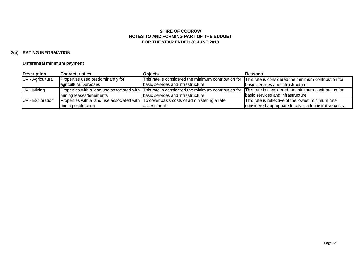## **8(a). RATING INFORMATION**

## **Differential minimum payment**

| <b>Description</b> | <b>Characteristics</b>            | Obiects                                                                                         | Reasons                                               |
|--------------------|-----------------------------------|-------------------------------------------------------------------------------------------------|-------------------------------------------------------|
| UV - Agricultural  | Properties used predominantly for | This rate is considered the minimum contribution for                                            | This rate is considered the minimum contribution for  |
|                    | agricultural purposes             | basic services and infrastructure                                                               | basic services and infrastructure                     |
| UV - Mining        |                                   | Properties with a land use associated with This rate is considered the minimum contribution for | This rate is considered the minimum contribution for  |
|                    | mining leases/tenements           | basic services and infrastructure                                                               | basic services and infrastructure                     |
| UV - Exploration   |                                   | Properties with a land use associated with To cover basis costs of administering a rate         | This rate is reflective of the lowest minimum rate    |
|                    | mining exploration                | lassessment.                                                                                    | considered appropriate to cover administrative costs. |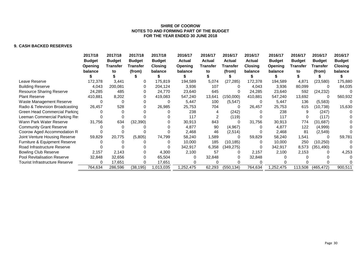## **9. CASH BACKED RESERVES**

|                                       | 2017/18                         | 2017/18                          | 2017/18                   | 2017/18                         | 2016/17                         | 2016/17                          | 2016/17                   | 2016/17                         | 2016/17                  | 2016/17                          | 2016/17                   | 2016/17                         |
|---------------------------------------|---------------------------------|----------------------------------|---------------------------|---------------------------------|---------------------------------|----------------------------------|---------------------------|---------------------------------|--------------------------|----------------------------------|---------------------------|---------------------------------|
|                                       | <b>Budget</b><br><b>Opening</b> | <b>Budget</b><br><b>Transfer</b> | <b>Budget</b><br>Transfer | <b>Budget</b><br><b>Closing</b> | <b>Actual</b><br><b>Opening</b> | <b>Actual</b><br><b>Transfer</b> | <b>Actual</b><br>Transfer | <b>Actual</b><br><b>Closing</b> | <b>Budget</b><br>Opening | <b>Budget</b><br><b>Transfer</b> | <b>Budget</b><br>Transfer | <b>Budget</b><br><b>Closing</b> |
|                                       | balance                         | to                               | (from)                    | balance                         | balance                         | to                               | (from)                    | balance                         | balance                  | to                               | (from)                    | balance                         |
|                                       |                                 |                                  |                           |                                 |                                 |                                  |                           |                                 |                          |                                  |                           |                                 |
| Leave Reserve                         | 172,378                         | 3,441                            | 0                         | 175,819                         | 194,589                         | 5,074                            | (27, 285)                 | 172,378                         | 194,589                  | 4,871                            | (23,580)                  | 175,880                         |
| <b>Building Reserve</b>               | 4,043                           | 200,081                          |                           | 204,124                         | 3,936                           | 107                              |                           | 4,043                           | 3,936                    | 80,099                           | <sup>0</sup>              | 84,035                          |
| <b>Resource Sharing Reserve</b>       | 24,285                          | 485                              |                           | 24,770                          | 23,640                          | 645                              |                           | 24,285                          | 23,640                   | 592                              | (24, 232)                 |                                 |
| <b>Plant Reserve</b>                  | 410,881                         | 8,202                            |                           | 419,083                         | 547,240                         | 13,641                           | (150,000)                 | 410,881                         | 547,240                  | 13,692                           |                           | 560,932                         |
| Waste Management Reserve              |                                 |                                  |                           |                                 | 5,447                           | 100                              | (5,547)                   | 0                               | 5,447                    | 136                              | (5,583)                   |                                 |
| Radio & Television Broadcasting       | 26,457                          | 528                              |                           | 26,985                          | 25,753                          | 704                              |                           | 26,457                          | 25,753                   | 615                              | (10, 738)                 | 15,630                          |
| Green Head Commercial Parking         |                                 |                                  |                           |                                 | 238                             |                                  | (242)                     |                                 | 238                      |                                  | (247)                     |                                 |
| Leeman Commercial Parking Re          |                                 |                                  |                           |                                 | 117                             |                                  | (119)                     |                                 | 117                      |                                  | (117)                     |                                 |
| Wann Park Water Reserve               | 31,756                          | 634                              | (32, 390)                 |                                 | 30,913                          | 843                              |                           | 31,756                          | 30,913                   | 774                              | (31, 687)                 |                                 |
| <b>Community Grant Reserve</b>        |                                 |                                  |                           |                                 | 4,877                           | 90                               | (4,967)                   |                                 | 4,877                    | 122                              | (4,999)                   |                                 |
| Coorow Aged Accommodation R           |                                 |                                  |                           |                                 | 2,468                           | 46                               | (2,514)                   |                                 | 2,468                    | 81                               | (2,549)                   |                                 |
| Joint Venture Housing Reserve         | 59,829                          | 20,775                           | (5,805)                   | 74,799                          | 58,240                          | 1,589                            |                           | 59,829                          | 58,240                   | 1,541                            |                           | 59,781                          |
| Furniture & Equipment Reserve         |                                 |                                  |                           |                                 | 10,000                          | 185                              | (10, 185)                 |                                 | 10,000                   | 250                              | (10, 250)                 |                                 |
| Road Infrastructure Reserve           |                                 |                                  |                           |                                 | 342,917                         | 6,358                            | (349, 275)                |                                 | 342,917                  | 8,573                            | (351, 490)                |                                 |
| <b>Bowling Club Reserve</b>           | 2,157                           | 2,143                            |                           | 4,300                           | 2,100                           | 57                               |                           | 2,157                           | 2,100                    | 2,153                            |                           | 4,253                           |
| Pool Revitalisation Reserve           | 32,848                          | 32,656                           |                           | 65,504                          |                                 | 32,848                           |                           | 32,848                          |                          |                                  |                           |                                 |
| <b>Tourist Infrastructure Reserve</b> | ∩                               | 17,651                           |                           | 17,651                          |                                 |                                  |                           |                                 |                          |                                  |                           |                                 |
|                                       | 764,634                         | 286,596                          | (38, 195)                 | 1,013,035                       | 1,252,475                       | 62,293                           | (550, 134)                | 764,634                         | ,252,475                 | 113,508                          | (465, 472)                | 900,511                         |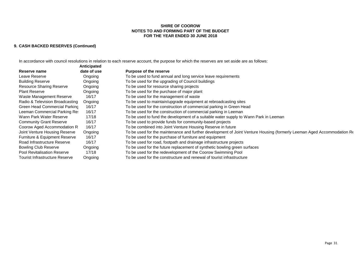#### **FOR THE YEAR ENDED 30 JUNE 2018 SHIRE OF COOROW NOTES TO AND FORMING PART OF THE BUDGET**

## **9. CASH BACKED RESERVES (Continued)**

In accordance with council resolutions in relation to each reserve account, the purpose for which the reserves are set aside are as follows:

|                                       | <b>Anticipated</b> |                                                                                                                        |
|---------------------------------------|--------------------|------------------------------------------------------------------------------------------------------------------------|
| Reserve name                          | date of use        | <b>Purpose of the reserve</b>                                                                                          |
| Leave Reserve                         | Ongoing            | To be used to fund annual and long service leave requirements                                                          |
| <b>Building Reserve</b>               | Ongoing            | To be used for the upgrading of Council buildings                                                                      |
| <b>Resource Sharing Reserve</b>       | Ongoing            | To be used for resource sharing projects                                                                               |
| <b>Plant Reserve</b>                  | Ongoing            | To be used for the purchase of major plant                                                                             |
| Waste Management Reserve              | 16/17              | To be used for the management of waste                                                                                 |
| Radio & Television Broadcasting       | Ongoing            | To be used to maintain/upgrade equipment at rebroadcasting sites                                                       |
| Green Head Commercial Parking         | 16/17              | To be used for the construction of commercial parking in Green Head                                                    |
| Leeman Commercial Parking Res         | 16/17              | To be used for the construction of commercial parking in Leeman                                                        |
| Wann Park Water Reserve               | 17/18              | To be used to fund the development of a suitable water supply to Wann Park in Leeman                                   |
| <b>Community Grant Reserve</b>        | 16/17              | To be used to provide funds for community-based projects                                                               |
| Coorow Aged Accommodation R           | 16/17              | To be combined into Joint Venture Housing Reserve in future                                                            |
| Joint Venture Housing Reserve         | Ongoing            | To be used for the maintenance and further development of Joint Venture Housing (formerly Leeman Aged Accommodation Re |
| Furniture & Equipment Reserve         | 16/17              | To be used for the purchase of furniture and equipment                                                                 |
| Road Infrastructure Reserve           | 16/17              | To be used for road, footpath and drainage infrastructure projects                                                     |
| <b>Bowling Club Reserve</b>           | Ongoing            | To be used for the future replacement of synthetic bowling green surfaces                                              |
| <b>Pool Revitalisation Reserve</b>    | 17/18              | To be used for the redevelopment of the Coorow Swimming Pool                                                           |
| <b>Tourist Infrastructure Reserve</b> | Ongoing            | To be used for the constructure and renewal of tourist infrastructure                                                  |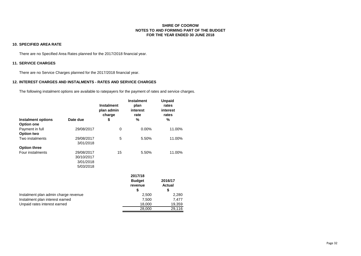#### **10. SPECIFIED AREA RATE**

There are no Specified Area Rates planned for the 2017/2018 financial year.

#### **11. SERVICE CHARGES**

There are no Service Charges planned for the 2017/2018 financial year.

#### **12. INTEREST CHARGES AND INSTALMENTS - RATES AND SERVICE CHARGES**

The following instalment options are available to ratepayers for the payment of rates and service charges.

| <b>Instalment options</b>            | Date due                                           | <b>Instalment</b><br>plan admin<br>charge<br>\$ | <b>Instalment</b><br>plan<br>interest<br>rate<br>% | <b>Unpaid</b><br>rates<br>interest<br>rates<br>% |
|--------------------------------------|----------------------------------------------------|-------------------------------------------------|----------------------------------------------------|--------------------------------------------------|
| <b>Option one</b>                    |                                                    |                                                 |                                                    |                                                  |
| Payment in full<br><b>Option two</b> | 29/08/2017                                         | 0                                               | $0.00\%$                                           | 11.00%                                           |
| Two instalments                      | 29/08/2017<br>3/01/2018                            | 5                                               | 5.50%                                              | 11.00%                                           |
| <b>Option three</b>                  |                                                    |                                                 |                                                    |                                                  |
| Four instalments                     | 29/08/2017<br>30/10/2017<br>3/01/2018<br>5/03/2018 | 15                                              | 5.50%                                              | 11.00%                                           |
|                                      |                                                    |                                                 | 2017/18<br><b>Budget</b><br>revenue<br>\$          | 2016/17<br><b>Actual</b><br>\$                   |
| Instalment plan admin charge revenue |                                                    |                                                 | 2,500                                              | 2,280                                            |
| Instalment plan interest earned      |                                                    |                                                 | 7,500                                              | 7,477                                            |
| Unpaid rates interest earned         |                                                    |                                                 | 18,000                                             | 19,359                                           |
|                                      |                                                    |                                                 | 28,000                                             | 29,116                                           |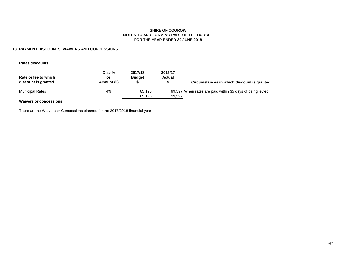#### **NOTES TO AND FORMING PART OF THE BUDGET FOR THE YEAR ENDED 30 JUNE 2018 SHIRE OF COOROW**

#### **13. PAYMENT DISCOUNTS, WAIVERS AND CONCESSIONS**

**Rates discounts**

| Rate or fee to which<br>discount is granted | Disc %<br>or<br>Amount (\$) | 2017/18<br><b>Budget</b> | 2016/17<br>Actual | Circumstances in which discount is granted                |
|---------------------------------------------|-----------------------------|--------------------------|-------------------|-----------------------------------------------------------|
| <b>Municipal Rates</b>                      | 4%                          | 85.195                   |                   | 99,597 When rates are paid within 35 days of being levied |
|                                             |                             | 85.195                   | 99.597            |                                                           |
| <b>Waivers or concessions</b>               |                             |                          |                   |                                                           |

There are no Waivers or Concessions planned for the 2017/2018 financial year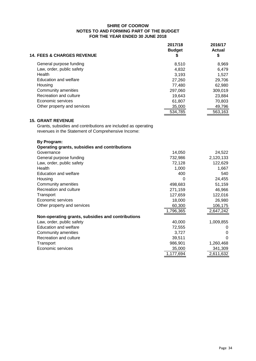| <b>14. FEES &amp; CHARGES REVENUE</b> | 2017/18<br><b>Budget</b><br>5 | 2016/17<br>Actual<br>\$ |
|---------------------------------------|-------------------------------|-------------------------|
| General purpose funding               | 8.510                         | 8,969                   |
| Law, order, public safety             | 4,832                         | 6,479                   |
| Health                                | 3.193                         | 1.527                   |
| Education and welfare                 | 27,260                        | 29,706                  |
| Housing                               | 77,480                        | 62,980                  |
| Community amenities                   | 297,060                       | 309,019                 |
| Recreation and culture                | 19,643                        | 23,884                  |
| Economic services                     | 61,807                        | 70,803                  |
| Other property and services           | 35,000                        | 49,796                  |
|                                       | 534,785                       | 563,163                 |

## **15. GRANT REVENUE**

Grants, subsidies and contributions are included as operating revenues in the Statement of Comprehensive Income:

| <b>By Program:</b>                                |           |           |
|---------------------------------------------------|-----------|-----------|
| Operating grants, subsidies and contributions     |           |           |
| Governance                                        | 14,050    | 24,522    |
| General purpose funding                           | 732,986   | 2,120,133 |
| Law, order, public safety                         | 72,128    | 122,629   |
| Health                                            | 1,000     | 1,667     |
| <b>Education and welfare</b>                      | 400       | 540       |
| Housing                                           | 0         | 24,455    |
| Community amenities                               | 498,683   | 51,159    |
| Recreation and culture                            | 271,159   | 46,966    |
| Transport                                         | 127,659   | 122,016   |
| Economic services                                 | 18,000    | 26,980    |
| Other property and services                       | 60,300    | 106,175   |
|                                                   | 1,796,365 | 2,647,242 |
| Non-operating grants, subsidies and contributions |           |           |
| Law, order, public safety                         | 40,000    | 1,009,855 |
| Education and welfare                             | 72,555    | O         |
| Community amenities                               | 3,727     | $\Omega$  |
| Recreation and culture                            | 39,511    | ∩         |
| Transport                                         | 986,901   | 1,260,468 |
| Economic services                                 | 35,000    | 341,309   |
|                                                   | 1,177,694 | 2,611,632 |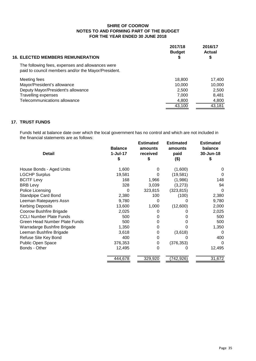| <b>16. ELECTED MEMBERS REMUNERATION</b>                                                                 | 2017/18<br><b>Budget</b><br>\$ | 2016/17<br><b>Actual</b><br>\$ |
|---------------------------------------------------------------------------------------------------------|--------------------------------|--------------------------------|
| The following fees, expenses and allowances were<br>paid to council members and/or the Mayor/President. |                                |                                |
| Meeting fees                                                                                            | 18,800                         | 17,400                         |
| Mayor/President's allowance                                                                             | 10.000                         | 10,000                         |
| Deputy Mayor/President's allowance                                                                      | 2,500                          | 2,500                          |
| Travelling expenses                                                                                     | 7,000                          | 8,481                          |
| Telecommunications allowance                                                                            | 4,800                          | 4,800                          |
|                                                                                                         | 43,100                         | 43,181                         |

## **17. TRUST FUNDS**

Funds held at balance date over which the local government has no control and which are not included in the financial statements are as follows:

| <b>Detail</b>                        | <b>Balance</b><br>$1-Jul-17$<br>S | <b>Estimated</b><br>amounts<br>received<br>S | <b>Estimated</b><br>amounts<br>paid<br>(\$) | <b>Estimated</b><br>balance<br>30-Jun-18<br>S |
|--------------------------------------|-----------------------------------|----------------------------------------------|---------------------------------------------|-----------------------------------------------|
| House Bonds - Aged Units             | 1,600                             | 0                                            | (1,600)                                     | 0                                             |
| <b>LGCHP Surplus</b>                 | 19,581                            | 0                                            | (19, 581)                                   | $\Omega$                                      |
| <b>BCITF Levy</b>                    | 168                               | 1,966                                        | (1,986)                                     | 148                                           |
| <b>BRB Levy</b>                      | 328                               | 3,039                                        | (3,273)                                     | 94                                            |
| Police Licensing                     | 0                                 | 323,815                                      | (323, 815)                                  | 0                                             |
| <b>Standpipe Card Bond</b>           | 2,380                             | 100                                          | (100)                                       | 2,380                                         |
| Leeman Ratepayers Assn               | 9,780                             | 0                                            |                                             | 9,780                                         |
| <b>Kerbing Deposits</b>              | 13,600                            | 1,000                                        | (12,600)                                    | 2,000                                         |
| Coorow Bushfire Brigade              | 2,025                             | 0                                            |                                             | 2,025                                         |
| <b>CCLI Number Plate Funds</b>       | 500                               | 0                                            |                                             | 500                                           |
| <b>Green Head Number Plate Funds</b> | 500                               | 0                                            |                                             | 500                                           |
| Warradarge Bushfire Brigade          | 1,350                             | 0                                            |                                             | 1,350                                         |
| Leeman Bushfire Brigade              | 3,618                             | 0                                            | (3,618)                                     | $\Omega$                                      |
| Refuse Site Key Bond                 | 400                               | 0                                            |                                             | 400                                           |
| Public Open Space                    | 376,353                           | 0                                            | (376, 353)                                  | 0                                             |
| Bonds - Other                        | 12,495                            | 0                                            |                                             | 12,495                                        |
|                                      | 444,678                           | 329,920                                      | (742, 926)                                  | 31,672                                        |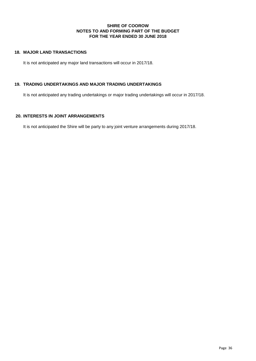## **18. MAJOR LAND TRANSACTIONS**

It is not anticipated any major land transactions will occur in 2017/18.

## **19. TRADING UNDERTAKINGS AND MAJOR TRADING UNDERTAKINGS**

It is not anticipated any trading undertakings or major trading undertakings will occur in 2017/18.

## **20. INTERESTS IN JOINT ARRANGEMENTS**

It is not anticipated the Shire will be party to any joint venture arrangements during 2017/18.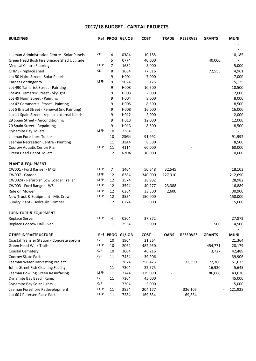## **2017/18 BUDGET - CAPITAL PROJECTS**

| <b>BUILDINGS</b>                              |             |    | Ref PROG GL/JOB | <b>COST</b> | <b>TRADE</b> | <b>RESERVES</b> | <b>GRANTS</b> | <b>MUNI</b> |
|-----------------------------------------------|-------------|----|-----------------|-------------|--------------|-----------------|---------------|-------------|
|                                               |             |    |                 |             |              |                 |               |             |
| Leeman Administration Centre - Solar Panels   | CF          | 4  | 03A4            | 10,185      |              |                 |               | 10,185      |
| Green Head Bush Fire Brigade Shed Upgrade     |             | 5  | 0774            | 40,000      |              |                 | 40,000        |             |
| <b>Medical Centre Flooring</b>                | <b>LTFP</b> | 7  | 1634            | 5,000       |              |                 |               | 5,000       |
| GHMS - replace shed                           | <b>CL</b>   | 8  | 1684            | 77,516      |              |                 | 72,555        | 4,961       |
| Lot 50 Nairn Street - Solar Panels            |             | 9  | H001            | 7,000       |              |                 |               | 7,000       |
| Carpet Contingency                            | <b>LTFP</b> | 9  | 5024            | 5,125       |              |                 |               | 5,125       |
| Lot 490 Tamarisk Street - Painting            |             | 9  | H003            | 10,500      |              |                 |               | 10,500      |
| Lot 490 Tamarisk Street - Skylight            |             | 9  | H003            | 2,000       |              |                 |               | 2,000       |
| Lot 49 Nairn Street - Painting                |             | 9  | H004            | 8,000       |              |                 |               | 8,000       |
| Lot 42 Commercial Street - Painting           |             | 9  | H005            | 8,500       |              |                 |               | 8,500       |
| Lot 5 Bristol Street - Renewal (inc Painting) |             | 9  | H008            | 16,000      |              |                 |               | 16,000      |
| Lot 11 Spain Street - replace external blinds |             | 9  | H012            | 2,000       |              |                 |               | 2,000       |
| 29 Spain Street - Airconditioning             |             | 9  | H013            | 12,000      |              |                 |               | 12,000      |
| 29 Spain Street - Repainting                  |             | 9  | H013            | 8,500       |              |                 |               | 8,500       |
| <b>Dynamite Bay Toilets</b>                   | LTFP        | 10 | 2384            |             |              |                 |               |             |
| Leeman Foreshore Toilets                      |             | 10 | 23G4            | 91,992      |              |                 |               | 91,992      |
| Leeman Recreation Centre - Painting           |             | 11 | 31A4            | 8,500       |              |                 |               | 8,500       |
| Coorow Aquatic Centre Plan                    | <b>LTFP</b> | 11 | 4114            | 60,000      |              |                 |               | 60,000      |
| Green Head Depot Toilets                      |             | 12 | 62D4            | 10,000      |              |                 |               | 10,000      |
| <b>PLANT &amp; EQUIPMENT</b>                  |             |    |                 |             |              |                 |               |             |
| CW001 - Ford Ranger - MRS                     | LTFP        | 7  | 1464            | 50,648      | 32,545       |                 |               | 18,103      |
| CW007 - Grader                                | LTFP        | 12 | 6384            | 340,000     | 127,310      |                 |               | 212,690     |
| CW0024 - Refurbish Low Loader Trailer         | LTFP        | 12 | 3574            | 28,982      |              |                 |               | 28,982      |
| CW003 - Ford Ranger - WS                      | LTFP        | 12 | 3594            | 40,277      | 23,388       |                 |               | 16,889      |
| Ride on Mower                                 | LTFP        | 12 | 6364            | 33,500      | 2,600        |                 |               | 30,900      |
| New Truck & Equipment - Mtc Crew              | LTFP        | 12 | 3554            | 150,000     |              |                 |               | 150,000     |
| Sundry Plant - Hydraulic Crimper              |             | 12 | 6274            | 5,000       |              |                 |               | 5,000       |
| <b>FURNITURE &amp; EQUIPMENT</b>              |             |    |                 |             |              |                 |               |             |
| Replace Server                                | <b>LTFP</b> | 4  | 0504            | 27,872      |              |                 |               | 27,872      |
| Replace Coorow Hall Oven                      |             | 11 | 2554            | 5,000       |              |                 | 500           | 4,500       |
| <b>OTHER INFRASTRUCTURE</b>                   |             |    | Ref PROG GL/JOB | <b>COST</b> | <b>LOANS</b> | <b>RESERVES</b> | <b>GRANTS</b> | <b>MUNI</b> |
| Coastal Transfer Station - Concrete aprons    | C/F         | 10 | 1904            | 21,364      |              |                 |               | 21,364      |
| <b>Green Head Walk Trails</b>                 | <b>LTFP</b> | 10 | 2064            | 482,950     |              |                 | 454,771       | 28,179      |
| Coastal Cemetery                              | C/F         | 10 | 3004            | 46,216      |              |                 | 3,727         | 42,489      |
| Coorow Skate Park                             | C/F         | 11 | 7454            | 39,906      |              |                 |               | 39,906      |
| Leeman Water Harvesting Project               |             | 11 | 2674            | 256,423     |              | 32,390          | 172,360       | 51,673      |
| Johns Street Fish Cleaning Facility           |             | 11 | 7304            | 22,575      |              |                 | 16,930        | 5,645       |
| Leeman Bowling Green Resurfacing              | LTFP        | 11 | 2744            | 129,090     |              |                 | 86,060        | 43,030      |
| Dynamite Bay Beach Ramp                       | C/F         | 11 | 7304            | 45,000      |              |                 |               | 45,000      |
| Dynamite Bay Solar Lights                     | C/F         | 11 | 7304            | 5,000       |              |                 |               | 5,000       |
| Leeman Foreshore Redevelopment                | <b>LTFP</b> | 11 | 2854            | 204,177     |              | 326,105         |               | 121,928     |
| Lot 601 Petersen Place Park                   | LTFP        | 11 | 7284            | 169,834     |              | 169,834         |               |             |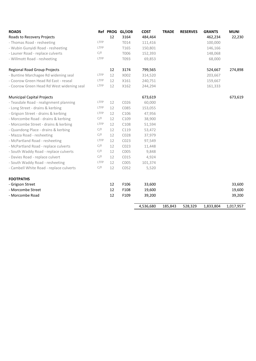| <b>ROADS</b>                              |      |    | Ref PROG GL/JOB | <b>COST</b> | <b>TRADE</b> | <b>RESERVES</b> | <b>GRANTS</b> | <b>MUNI</b> |
|-------------------------------------------|------|----|-----------------|-------------|--------------|-----------------|---------------|-------------|
| Roads to Recovery Projects                |      | 12 | 3164            | 484,464     |              |                 | 462,234       | 22,230      |
| - Thomas Road - resheeting                | LTFP |    | T014            | 111,416     |              |                 | 100,000       |             |
| - Wubin Gunyidi Road - resheeting         | LTFP |    | T165            | 150,801     |              |                 | 146,166       |             |
| - Launer Road - replace culverts          | C/F  |    | T006            | 152,393     |              |                 | 148,068       |             |
| - Willmott Road - resheeting              | LTFP |    | T093            | 69,853      |              |                 | 68,000        |             |
| <b>Regional Road Group Projects</b>       |      | 12 | 3174            | 799,565     |              |                 | 524,667       | 274,898     |
| - Buntine Marchagee Rd widening seal      | LTFP | 12 | X002            | 314,520     |              |                 | 203,667       |             |
| - Coorow Green Head Rd East - reseal      | LTFP | 12 | X161            | 240,751     |              |                 | 159,667       |             |
| - Coorow Green Head Rd West widening seal | LTFP | 12 | X162            | 244,294     |              |                 | 161,333       |             |
| <b>Municipal Capital Projects</b>         |      |    |                 | 673,619     |              |                 |               | 673,619     |
| - Teasdale Road - realignment planning    | LTFP | 12 | C026            | 60,000      |              |                 |               |             |
| - Long Street - drains & kerbing          | LTFP | 12 | C085            | 153,055     |              |                 |               |             |
| - Grigson Street - drains & kerbing       | LTFP | 12 | C106            | 47,956      |              |                 |               |             |
| - Morcombe Road - drains & kerbing        | C/F  | 12 | C109            | 38,900      |              |                 |               |             |
| - Morcombe Street - drains & kerbing      | LTFP | 12 | C108            | 51,594      |              |                 |               |             |
| - Quandong Place - drains & kerbing       | C/F  | 12 | C119            | 53,472      |              |                 |               |             |
| - Mazza Road - resheeting                 | C/F  | 12 | C028            | 37,979      |              |                 |               |             |
| - McPartland Road - resheeting            | LTFP | 12 | C023            | 97,549      |              |                 |               |             |
| - McPartland Road - replace culverts      | C/F  | 12 | C023            | 11,448      |              |                 |               |             |
| - South Waddy Road - replace culverts     | C/F  | 12 | C005            | 9,848       |              |                 |               |             |
| - Davies Road - replace culvert           | C/F  | 12 | C015            | 4,924       |              |                 |               |             |
| - South Waddy Road - resheeting           | LTFP | 12 | C005            | 101,374     |              |                 |               |             |
| - Cambell White Road - replace culverts   | C/F  | 12 | C052            | 5,520       |              |                 |               |             |
| <b>FOOTPATHS</b>                          |      |    |                 |             |              |                 |               |             |
| - Grigson Street                          |      | 12 | F106            | 33,600      |              |                 |               | 33,600      |
| - Morcombe Street                         |      | 12 | F108            | 19,600      |              |                 |               | 19,600      |
| - Morcombe Road                           |      | 12 | F109            | 39,200      |              |                 |               | 39,200      |
|                                           |      |    |                 | 4,536,680   | 185,843      | 528,329         | 1,833,804     | 1,017,957   |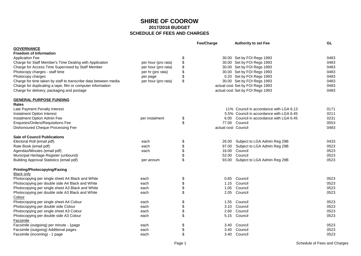|                                                                       |                     | Fee/Charge          | <b>Authority to set Fee</b>              | GL   |
|-----------------------------------------------------------------------|---------------------|---------------------|------------------------------------------|------|
| <b>GOVERNANCE</b>                                                     |                     |                     |                                          |      |
| <b>Freedom of Information</b>                                         |                     |                     |                                          |      |
| <b>Application Fee</b>                                                |                     | \$                  | 30.00 Set by FOI Regs 1993               | 0483 |
| Charge for Staff Member's Time Dealing with Application               | per hour (pro rata) | \$                  | 30.00 Set by FOI Regs 1993               | 0483 |
| Charge for Access Time Supervised by Staff Member                     | per hour (pro rata) | \$                  | 30.00 Set by FOI Regs 1993               | 0483 |
| Photocopy charges - staff time                                        | per hr (pro rata)   | \$                  | 30.00 Set by FOI Regs 1993               | 0483 |
| Photocopy charges                                                     | per page            | \$                  | 0.20 Set by FOI Regs 1993                | 0483 |
| Charge for time taken by staff to transcribe data between media       | per hour (pro rata) | \$                  | 30.00 Set by FOI Regs 1993               | 0483 |
| Charge for duplicating a tape, film or computer information           |                     |                     | actual cost Set by FOI Regs 1993         | 0483 |
| Charge for delivery, packaging and postage                            |                     |                     | actual cost Set by FOI Regs 1993         | 0483 |
| <b>GENERAL PURPOSE FUNDING</b>                                        |                     |                     |                                          |      |
| <b>Rates</b>                                                          |                     |                     |                                          |      |
| Late Payment Penalty Interest                                         |                     |                     | 11% Council in accordance with LGA 6.13  | 0171 |
| Instalment Option Interest                                            |                     |                     | 5.5% Council in accordance with LGA 6.45 | 0211 |
| Instalment Option Admin Fee                                           | per instalment      | \$                  | 6.00 Council in accordance with LGA 6.45 | 0231 |
| Enquiries/Orders/Requisitions Fee                                     |                     | \$                  | 77.00 Council                            | 0553 |
| Dishonoured Cheque Processing Fee                                     |                     | actual cost Council |                                          | 0483 |
| <b>Sale of Council Publications</b>                                   |                     |                     |                                          |      |
| Electoral Roll (email pdf)                                            | each                | \$                  | 26.00 Subject to LGA Admin Reg 29B       | 0433 |
| Rate Book (email pdf)                                                 | each                | \$<br>97.00         | Subject to LGA Admin Reg 29B             | 0523 |
| Agendas/Minutes (email pdf)                                           | each                | \$<br>16.00         | Council                                  | 0523 |
| Municipal Heritage Register (unbound)                                 |                     | \$<br>52.00         | Council                                  | 0523 |
| <b>Building Approval Statistics (email pdf)</b>                       | per annum           | \$                  | 93.00 Subject to LGA Admin Reg 29B       | 0523 |
| <b>Printing/Photocopying/Faxing</b>                                   |                     |                     |                                          |      |
| <b>Black only</b><br>Photocopying per single sheet A4 Black and White | each                | \$                  | 0.65 Council                             | 0523 |
| Photocopying per double side A4 Black and White                       | each                | \$<br>1.15          | Council                                  | 0523 |
| Photocopying per single sheet A3 Black and White                      | each                | \$<br>1.05          | Council                                  | 0523 |
| Photocopying per double side A3 Black and White                       | each                | \$<br>2.05          | Council                                  | 0523 |
| Colour                                                                |                     |                     |                                          |      |
| Photocopying per single sheet A4 Colour                               | each                | \$                  | 1.55 Council                             | 0523 |
| Photocopying per double side Colour                                   | each                | \$                  | 3.10 Council                             | 0523 |
| Photocopying per single sheet A3 Colour                               | each                | \$<br>2.60          | Council                                  | 0523 |
| Photocopying per double side A3 Colour                                | each                | \$                  | 5.15 Council                             | 0523 |
| <b>Facsimile</b>                                                      |                     |                     |                                          |      |
| Facsimile (outgoing) per minute - 1page                               | each                | \$                  | 3.40 Council                             | 0523 |
| Facsimile (outgoing) Additional pages                                 | each                | \$<br>3.40          | Council                                  | 0523 |
| Facsimile (incoming) - 1 page                                         | each                | \$                  | 3.40 Council                             | 0523 |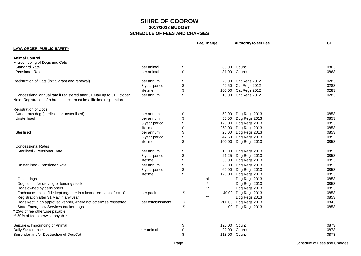|                                                                                                                                              |                   | Fee/Charge         | <b>Authority to set Fee</b> | GL   |
|----------------------------------------------------------------------------------------------------------------------------------------------|-------------------|--------------------|-----------------------------|------|
| <b>LAW, ORDER, PUBLIC SAFETY</b>                                                                                                             |                   |                    |                             |      |
| <b>Animal Control</b>                                                                                                                        |                   |                    |                             |      |
| Microchipping of Dogs and Cats                                                                                                               |                   |                    |                             |      |
| <b>Standard Rate</b>                                                                                                                         | per animal        | \$                 | 60.00 Council               | 0863 |
| <b>Pensioner Rate</b>                                                                                                                        | per animal        | \$                 | 31.00 Council               | 0863 |
| Registration of Cats (initial grant and renewal)                                                                                             | per annum         | \$                 | 20.00 Cat Regs 2012         | 0283 |
|                                                                                                                                              | 3 year period     | \$                 | 42.50 Cat Regs 2012         | 0283 |
|                                                                                                                                              | lifetime          | \$                 | 100.00 Cat Regs 2012        | 0283 |
| Concessional annual rate if registered after 31 May up to 31 October<br>Note: Registration of a breeding cat must be a lifetime registration | per annum         | \$                 | 10.00 Cat Regs 2012         | 0283 |
| <b>Registration of Dogs</b>                                                                                                                  |                   |                    |                             |      |
| Dangerous dog (sterilised or unsterilised)                                                                                                   | per annum         | \$<br>50.00        | Dog Regs 2013               | 0853 |
| Unsterilised                                                                                                                                 | per annum         | \$<br>50.00        | Dog Regs 2013               | 0853 |
|                                                                                                                                              | 3 year period     | \$<br>120.00       | Dog Regs 2013               | 0853 |
|                                                                                                                                              | lifetime          | \$<br>250.00       | Dog Regs 2013               | 0853 |
| Sterilised                                                                                                                                   | per annum         | \$<br>20.00        | Dog Regs 2013               | 0853 |
|                                                                                                                                              | 3 year period     | \$<br>42.50        | Dog Regs 2013               | 0853 |
|                                                                                                                                              | lifetime          | \$<br>100.00       | Dog Regs 2013               | 0853 |
| <b>Concessional Rates</b>                                                                                                                    |                   |                    |                             |      |
| Sterilised - Pensioner Rate                                                                                                                  | per annum         | \$<br>10.00        | Dog Regs 2013               | 0853 |
|                                                                                                                                              | 3 year period     | \$<br>21.25        | Dog Regs 2013               | 0853 |
|                                                                                                                                              | lifetime          | \$<br>50.00        | Dog Regs 2013               | 0853 |
| <b>Unsterilised - Pensioner Rate</b>                                                                                                         | per annum         | \$<br>25.00        | Dog Regs 2013               | 0853 |
|                                                                                                                                              | 3 year period     | \$<br>60.00        | Dog Regs 2013               | 0853 |
|                                                                                                                                              | lifetime          | \$<br>125.00       | Dog Regs 2013               | 0853 |
| Guide dogs                                                                                                                                   |                   | nil                | Dog Regs 2013               | 0853 |
| Dogs used for droving or tending stock                                                                                                       |                   | $\star$            | Dog Regs 2013               | 0853 |
| Dogs owned by pensioners                                                                                                                     |                   | $***$              | Dog Regs 2013               | 0853 |
| Foxhounds, bona fide kept together in a kennelled pack of $\ge$ = 10                                                                         | per pack          | \$<br>$\star\star$ | 40.00 Dog Regs 2013         | 0853 |
| Registration after 31 May in any year                                                                                                        |                   |                    | Dog Regs 2013               | 0853 |
| Dogs kept in an approved kennel, where not otherwise registered                                                                              | per establishment | \$<br>200.00       | Dog Regs 2013               | 0843 |
| State Emergency Services tracker dogs                                                                                                        |                   | \$<br>1.00         | Dog Regs 2013               | 0853 |
| * 25% of fee otherwise payable<br>** 50% of fee otherwise payable                                                                            |                   |                    |                             |      |
| Seizure & Impounding of Animal                                                                                                               |                   | \$<br>120.00       | Council                     | 0873 |
| Daily Sustenance                                                                                                                             | per animal        | \$<br>22.00        | Council                     | 0873 |
| Surrender and/or Destruction of Dog/Cat                                                                                                      |                   | \$                 | 118.00 Council              | 0873 |
|                                                                                                                                              |                   |                    |                             |      |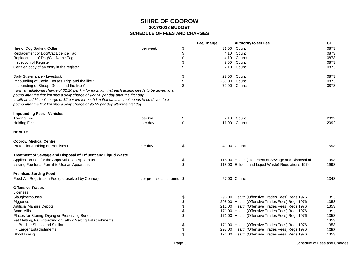|                                                                                                                                                                                       |                            |          | Fee/Charge      | <b>Authority to set Fee</b>                        | GL.          |
|---------------------------------------------------------------------------------------------------------------------------------------------------------------------------------------|----------------------------|----------|-----------------|----------------------------------------------------|--------------|
| Hire of Dog Barking Collar                                                                                                                                                            | per week                   | \$       | 31.00           | Council                                            | 0873         |
| Replacement of Dog/Cat Licence Tag                                                                                                                                                    |                            | \$       | 4.10            | Council                                            | 0873         |
| Replacement of Dog/Cat Name Tag                                                                                                                                                       |                            | \$       | 4.10            | Council                                            | 0873         |
| Inspection of Register                                                                                                                                                                |                            |          | 2.00            | Council                                            | 0873         |
| Certified copy of an entry in the register                                                                                                                                            |                            | \$       | 2.10            | Council                                            | 0873         |
|                                                                                                                                                                                       |                            |          |                 |                                                    |              |
| Daily Sustenance - Livestock                                                                                                                                                          |                            | \$       | 22.00           | Council<br>Council                                 | 0873<br>0873 |
| Impounding of Cattle, Horses, Pigs and the like *                                                                                                                                     |                            | \$<br>\$ | 230.00<br>70.00 | Council                                            | 0873         |
| Impounding of Sheep, Goats and the like #                                                                                                                                             |                            |          |                 |                                                    |              |
| * with an additional charge of \$2.20 per km for each km that each animal needs to be driven to a                                                                                     |                            |          |                 |                                                    |              |
| pound after the first km plus a daily charge of \$22.00 per day after the first day<br># with an additional charge of \$2 per km for each km that each animal needs to be driven to a |                            |          |                 |                                                    |              |
| pound after the first km plus a daily charge of \$5.00 per day after the first day.                                                                                                   |                            |          |                 |                                                    |              |
|                                                                                                                                                                                       |                            |          |                 |                                                    |              |
| <b>Impounding Fees - Vehicles</b>                                                                                                                                                     |                            |          |                 |                                                    |              |
| <b>Towing Fee</b>                                                                                                                                                                     | per km                     | \$       |                 | 2.10 Council                                       | 2092         |
| <b>Holding Fee</b>                                                                                                                                                                    | per day                    | \$       |                 | 11.00 Council                                      | 2092         |
| <b>HEALTH</b>                                                                                                                                                                         |                            |          |                 |                                                    |              |
| <b>Coorow Medical Centre</b>                                                                                                                                                          |                            |          |                 |                                                    |              |
| Professional Hiring of Premises Fee                                                                                                                                                   | per day                    | \$       |                 | 41.00 Council                                      | 1593         |
| Treatment of Sewage and Disposal of Effluent and Liquid Waste                                                                                                                         |                            |          |                 |                                                    |              |
| Application Fee for the Approval of an Apparatus                                                                                                                                      |                            | \$       |                 | 118.00 Health (Treatment of Sewage and Disposal of | 1993         |
| Issuing Fee for a 'Permit to Use an Apparatus'                                                                                                                                        |                            | \$       |                 | 118.00 Effluent and Liquid Waste) Regulations 1974 | 1993         |
|                                                                                                                                                                                       |                            |          |                 |                                                    |              |
| <b>Premises Serving Food</b>                                                                                                                                                          |                            |          |                 |                                                    |              |
| Food Act Registration Fee (as resolved by Council)                                                                                                                                    | per premises, per annur \$ |          |                 | 57.00 Council                                      | 1343         |
| <b>Offensive Trades</b>                                                                                                                                                               |                            |          |                 |                                                    |              |
| Licenses                                                                                                                                                                              |                            |          |                 |                                                    |              |
| Slaughterhouses                                                                                                                                                                       |                            | \$       |                 | 298.00 Health (Offensive Trades Fees) Regs 1976    | 1353         |
| Piggeries                                                                                                                                                                             |                            | \$       |                 | 298.00 Health (Offensive Trades Fees) Regs 1976    | 1353         |
| <b>Artificial Manure Depots</b>                                                                                                                                                       |                            | \$       |                 | 211.00 Health (Offensive Trades Fees) Regs 1976    | 1353         |
| <b>Bone Mills</b>                                                                                                                                                                     |                            | \$       |                 | 171.00 Health (Offensive Trades Fees) Regs 1976    | 1353         |
| Places for Storing, Drying or Preserving Bones                                                                                                                                        |                            | \$       |                 | 171.00 Health (Offensive Trades Fees) Regs 1976    | 1353         |
| Fat Melting, Fat Extracting or Tallow Melting Establishments:                                                                                                                         |                            |          |                 |                                                    | 1353         |
| - Butcher Shops and Similar                                                                                                                                                           |                            | \$       |                 | 171.00 Health (Offensive Trades Fees) Regs 1976    | 1353         |
| - Larger Establishments                                                                                                                                                               |                            | \$       |                 | 298.00 Health (Offensive Trades Fees) Regs 1976    | 1353         |
| <b>Blood Drying</b>                                                                                                                                                                   |                            | \$       |                 | 171.00 Health (Offensive Trades Fees) Regs 1976    | 1353         |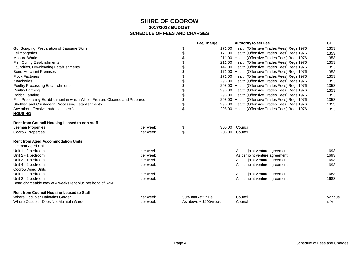|                                                                            |          | Fee/Charge            | <b>Authority to set Fee</b>                     | GL      |
|----------------------------------------------------------------------------|----------|-----------------------|-------------------------------------------------|---------|
| Gut Scraping, Preparation of Sausage Skins                                 |          | \$                    | 171.00 Health (Offensive Trades Fees) Regs 1976 | 1353    |
| Fellmongeries                                                              |          | \$                    | 171.00 Health (Offensive Trades Fees) Regs 1976 | 1353    |
| <b>Manure Works</b>                                                        |          |                       | 211.00 Health (Offensive Trades Fees) Regs 1976 | 1353    |
| <b>Fish Curing Establishments</b>                                          |          |                       | 211.00 Health (Offensive Trades Fees) Regs 1976 | 1353    |
| Laundries, Dry-cleaning Establishments                                     |          |                       | 147.00 Health (Offensive Trades Fees) Regs 1976 | 1353    |
| <b>Bone Merchant Premises</b>                                              |          |                       | 171.00 Health (Offensive Trades Fees) Regs 1976 | 1353    |
| <b>Flock Factories</b>                                                     |          |                       | 171.00 Health (Offensive Trades Fees) Regs 1976 | 1353    |
| Knackeries                                                                 |          |                       | 298.00 Health (Offensive Trades Fees) Regs 1976 | 1353    |
| <b>Poultry Processing Establishments</b>                                   |          |                       | 298.00 Health (Offensive Trades Fees) Regs 1976 | 1353    |
| <b>Poultry Farming</b>                                                     |          |                       | 298.00 Health (Offensive Trades Fees) Regs 1976 | 1353    |
| Rabbit Farming                                                             |          | \$                    | 298.00 Health (Offensive Trades Fees) Regs 1976 | 1353    |
| Fish Processing Establishment in which Whole Fish are Cleaned and Prepared |          | \$                    | 298.00 Health (Offensive Trades Fees) Regs 1976 | 1353    |
| Shellfish and Crustacean Processing Establishments                         |          | \$                    | 298.00 Health (Offensive Trades Fees) Regs 1976 | 1353    |
| Any other offensive trade not specified                                    |          | \$                    | 298.00 Health (Offensive Trades Fees) Regs 1976 | 1353    |
| <b>HOUSING</b>                                                             |          |                       |                                                 |         |
| <b>Rent from Council Housing Leased to non-staff</b>                       |          |                       |                                                 |         |
| Leeman Properties                                                          | per week | \$                    | 360.00 Council                                  |         |
| <b>Coorow Properties</b>                                                   | per week | \$<br>205.00          | Council                                         |         |
| <b>Rent from Aged Accommodation Units</b>                                  |          |                       |                                                 |         |
| Leeman Aged Units                                                          |          |                       |                                                 |         |
| Unit 1 - 2 bedroom                                                         | per week |                       | As per joint venture agreement                  | 1693    |
| Unit 2 - 1 bedroom                                                         | per week |                       | As per joint venture agreement                  | 1693    |
| Unit 3 - 1 bedroom                                                         | per week |                       | As per joint venture agreement                  | 1693    |
| Unit 4 - 2 bedroom                                                         | per week |                       | As per joint venture agreement                  | 1693    |
| <b>Coorow Aged Units</b>                                                   |          |                       |                                                 |         |
| Unit 1 - 2 bedroom                                                         | per week |                       | As per joint venture agreement                  | 1683    |
| Unit 2 - 2 bedroom                                                         | per week |                       | As per joint venture agreement                  | 1683    |
| Bond chargeable max of 4 weeks rent plus pet bond of \$260                 |          |                       |                                                 |         |
| Rent from Council Housing Leased to Staff                                  |          |                       |                                                 |         |
| Where Occupier Maintains Garden                                            | per week | 50% market value      | Council                                         | Various |
| Where Occupier Does Not Maintain Garden                                    | per week | As above + \$100/week | Council                                         | N/A     |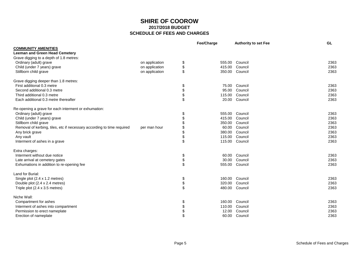|                                                                        |                | Fee/Charge   | <b>Authority to set Fee</b> | <b>GL</b> |
|------------------------------------------------------------------------|----------------|--------------|-----------------------------|-----------|
| <b>COMMUNITY AMENITIES</b>                                             |                |              |                             |           |
| <b>Leeman and Green Head Cemetery</b>                                  |                |              |                             |           |
| Grave digging to a depth of 1.8 metres:                                |                |              |                             |           |
| Ordinary (adult) grave                                                 | on application | \$<br>555.00 | Council                     | 2363      |
| Child (under 7 years) grave                                            | on application | \$<br>415.00 | Council                     | 2363      |
| Stillborn child grave                                                  | on application | \$<br>350.00 | Council                     | 2363      |
| Grave digging deeper than 1.8 metres:                                  |                |              |                             |           |
| First additional 0.3 metre                                             |                | \$<br>75.00  | Council                     | 2363      |
| Second additional 0.3 metre                                            |                | \$<br>95.00  | Council                     | 2363      |
| Third additional 0.3 metre                                             |                | \$<br>115.00 | Council                     | 2363      |
| Each additional 0.3 metre thereafter                                   |                | \$<br>20.00  | Council                     | 2363      |
| Re-opening a grave for each interment or exhumation:                   |                |              |                             |           |
| Ordinary (adult) grave                                                 |                | \$<br>555.00 | Council                     | 2363      |
| Child (under 7 years) grave                                            |                | \$<br>415.00 | Council                     | 2363      |
| Stillborn child grave                                                  |                | \$<br>350.00 | Council                     | 2363      |
| Removal of kerbing, tiles, etc if necessary according to time required | per man hour   | \$<br>60.00  | Council                     | 2363      |
| Any brick grave                                                        |                | \$<br>380.00 | Council                     | 2363      |
| Any vault                                                              |                | \$<br>115.00 | Council                     | 2363      |
| Interment of ashes in a grave                                          |                | \$<br>115.00 | Council                     | 2363      |
| Extra charges:                                                         |                |              |                             |           |
| Interment without due notice                                           |                | \$<br>60.00  | Council                     | 2363      |
| Late arrival at cemetery gates                                         |                | \$<br>30.00  | Council                     | 2363      |
| Exhumations in addition to re-opening fee                              |                | \$<br>555.00 | Council                     | 2363      |
| Land for Burial:                                                       |                |              |                             |           |
| Single plot (2.4 x 1.2 metres)                                         |                | \$<br>160.00 | Council                     | 2363      |
| Double plot (2.4 x 2.4 metres)                                         |                | \$<br>320.00 | Council                     | 2363      |
| Triple plot (2.4 x 3.5 metres)                                         |                | \$<br>480.00 | Council                     | 2363      |
| Niche Wall:                                                            |                |              |                             |           |
| Compartment for ashes                                                  |                | \$<br>160.00 | Council                     | 2363      |
| Interment of ashes into compartment                                    |                | \$<br>110.00 | Council                     | 2363      |
| Permission to erect nameplate                                          |                | \$<br>12.00  | Council                     | 2363      |
| Erection of nameplate                                                  |                | \$<br>60.00  | Council                     | 2363      |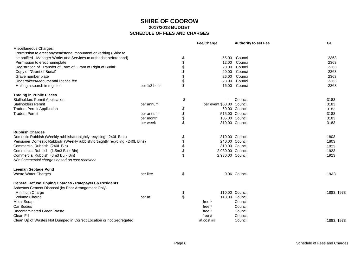|                                                                               |              | Fee/Charge                | <b>Authority to set Fee</b> | <b>GL</b>  |
|-------------------------------------------------------------------------------|--------------|---------------------------|-----------------------------|------------|
| Miscellaneous Charges:                                                        |              |                           |                             |            |
| Permission to erect anyheadstone, monument or kerbing (Shire to               |              |                           |                             |            |
| be notified - Manager Works and Services to authorise beforehand)             |              | \$<br>55.00               | Council                     | 2363       |
| Permission to erect nameplate                                                 |              | \$                        | 12.00 Council               | 2363       |
| Registration of "Transfer of Form of Grant of Right of Burial"                |              | \$<br>20.00               | Council                     | 2363       |
| Copy of "Grant of Burial"                                                     |              | \$                        | 20.00 Council               | 2363       |
| Grave number plate                                                            |              | \$                        | 26.00 Council               | 2363       |
| Undertakers/Monumental licence fee                                            |              | \$                        | 23.00 Council               | 2363       |
| Making a search in register                                                   | per 1/2 hour | \$                        | 16.00 Council               | 2363       |
| <b>Trading in Public Places</b>                                               |              |                           |                             |            |
| <b>Stallholders Permit Application</b>                                        |              | \$                        | Council                     | 3183       |
| <b>Stallholders Permit</b>                                                    | per annum    | per event \$60.00 Council |                             | 3183       |
| <b>Traders Permit Application</b>                                             |              | \$                        | 60.00 Council               | 3183       |
| <b>Traders Permit</b>                                                         | per annum    | \$                        | 515.00 Council              | 3183       |
|                                                                               | per month    | \$                        | 105.00 Council              | 3183       |
|                                                                               | per week     | \$                        | 310.00 Council              | 3183       |
| <b>Rubbish Charges</b>                                                        |              |                           |                             |            |
| Domestic Rubbish (Weekly rubbish/fortnightly recycling - 240L Bins)           |              | \$                        | 310.00 Council              | 1803       |
| Pensioner Domestic Rubbish (Weekly rubbish/fortnightly recycling - 240L Bins) |              | \$                        | 240.00 Council              | 1803       |
| Commercial Rubbish (240L Bin)                                                 |              | \$                        | 310.00 Council              | 1923       |
| Commercial Rubbish (1.5m3 Bulk Bin)                                           |              | \$<br>2,930.00 Council    |                             | 1923       |
| Commercial Rubbish (3m3 Bulk Bin)                                             |              | \$<br>2,930.00 Council    |                             | 1923       |
| NB: Commercial charges based on cost recovery.                                |              |                           |                             |            |
| <b>Leeman Septage Pond</b>                                                    |              |                           |                             |            |
| <b>Waste Water Charges</b>                                                    | per litre    | \$                        | 0.06 Council                | 19A3       |
| <b>General Refuse Tipping Charges - Ratepayers &amp; Residents</b>            |              |                           |                             |            |
| Asbestos Cement Disposal (by Prior Arrangement Only)                          |              |                           |                             |            |
| Minimum Charge                                                                |              | \$                        | 110.00 Council              | 1883, 1973 |
| Volume Charge                                                                 | per m3       | \$                        | 110.00 Council              |            |
| <b>Metal Scrap</b>                                                            |              | free *                    | Council                     |            |
| Car Bodies                                                                    |              | free *                    | Council                     |            |
| Uncontaminated Green Waste                                                    |              | free *                    | Council                     |            |
| Clean Fill                                                                    |              | free $#$                  | Council                     |            |
| Clean Up of Wastes Not Dumped in Correct Location or not Segregated           |              | at cost ##                | Council                     | 1883, 1973 |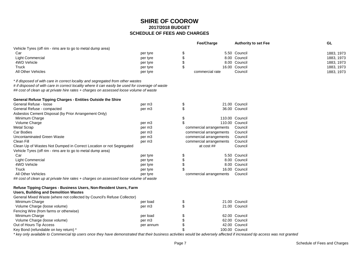|                                                                                                                                                                             |                    | Fee/Charge              | <b>Authority to set Fee</b> | <b>GL</b>  |
|-----------------------------------------------------------------------------------------------------------------------------------------------------------------------------|--------------------|-------------------------|-----------------------------|------------|
| Vehicle Tyres (off rim - rims are to go to metal dump area)                                                                                                                 |                    |                         |                             |            |
| Car                                                                                                                                                                         | per tyre           | \$                      | 5.50 Council                | 1883, 1973 |
| <b>Light Commercial</b>                                                                                                                                                     | per tyre           | \$                      | 8.00 Council                | 1883, 1973 |
| 4WD Vehicle                                                                                                                                                                 | per tyre           | \$                      | 8.00 Council                | 1883, 1973 |
| Truck                                                                                                                                                                       | per tyre           | \$                      | 16.00 Council               | 1883, 1973 |
| <b>All Other Vehicles</b>                                                                                                                                                   | per tyre           | commercial rate         | Council                     | 1883, 1973 |
| * if disposed of with care in correct locality and segregated from other wastes                                                                                             |                    |                         |                             |            |
| # if disposed of with care in correct locality where it can easily be used for coverage of waste                                                                            |                    |                         |                             |            |
| ## cost of clean up at private hire rates + charges on assessed loose volume of waste                                                                                       |                    |                         |                             |            |
| General Refuse Tipping Charges - Entities Outside the Shire                                                                                                                 |                    |                         |                             |            |
| General Refuse - loose                                                                                                                                                      | per m3             | \$                      | 21.00 Council               |            |
| General Refuse - compacted                                                                                                                                                  | per m3             | \$                      | 36.00 Council               |            |
| Asbestos Cement Disposal (by Prior Arrangement Only)                                                                                                                        |                    |                         |                             |            |
| Minimum Charge                                                                                                                                                              |                    | \$                      | 110.00 Council              |            |
| Volume Charge                                                                                                                                                               | per m <sub>3</sub> |                         | 110.00 Council              |            |
| Metal Scrap                                                                                                                                                                 | per m3             | commercial arrangements | Council                     |            |
| Car Bodies                                                                                                                                                                  | per m3             | commercial arrangements | Council                     |            |
| Uncontaminated Green Waste                                                                                                                                                  | per m3             | commercial arrangements | Council                     |            |
| Clean Fill                                                                                                                                                                  | per m3             | commercial arrangements | Council                     |            |
| Clean Up of Wastes Not Dumped in Correct Location or not Segregated                                                                                                         |                    | at $cost$ ##            | Council                     |            |
| Vehicle Tyres (off rim - rims are to go to metal dump area)                                                                                                                 |                    |                         |                             |            |
| Car                                                                                                                                                                         | per tyre           | \$                      | 5.50 Council                |            |
| <b>Light Commercial</b>                                                                                                                                                     | per tyre           |                         | 8.00 Council                |            |
| 4WD Vehicle                                                                                                                                                                 | per tyre           |                         | 8.00 Council                |            |
| Truck                                                                                                                                                                       | per tyre           |                         | 16.00 Council               |            |
| All Other Vehicles                                                                                                                                                          | per tyre           | commercial arrangements | Council                     |            |
| ## cost of clean up at private hire rates + charges on assessed loose volume of waste                                                                                       |                    |                         |                             |            |
| Refuse Tipping Charges - Business Users, Non-Resident Users, Farm                                                                                                           |                    |                         |                             |            |
| <b>Users, Building and Demolition Wastes</b>                                                                                                                                |                    |                         |                             |            |
| General Mixed Waste (where not collected by Council's Refuse Collector)                                                                                                     |                    |                         |                             |            |
| Minimum Charge                                                                                                                                                              | per load           | \$                      | 21.00 Council               |            |
| Volume Charge (loose volume)                                                                                                                                                | per m3             | \$                      | 21.00 Council               |            |
| Fencing Wire (from farms or otherwise)                                                                                                                                      |                    |                         |                             |            |
| Minimum Charge                                                                                                                                                              | per load           |                         | 62.00 Council               |            |
| Volume Charge (loose volume)                                                                                                                                                | per m <sub>3</sub> |                         | 62.00 Council               |            |
| Out of Hours Tip Access                                                                                                                                                     | per annum          |                         | 42.00 Council               |            |
| Key Bond (refundable on key return) *                                                                                                                                       |                    |                         | 100.00 Council              |            |
| * key only available to Commercial tip users once they have demonstrated that their business activities would be adversely affected if increased tip access was not granted |                    |                         |                             |            |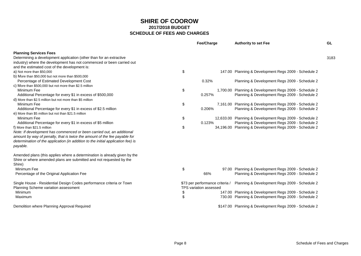|                                                                                                                                                                                                                                                                                   |          | <b>Fee/Charge</b>                                                | <b>Authority to set Fee</b>                                                                                  | GL   |
|-----------------------------------------------------------------------------------------------------------------------------------------------------------------------------------------------------------------------------------------------------------------------------------|----------|------------------------------------------------------------------|--------------------------------------------------------------------------------------------------------------|------|
| <b>Planning Services Fees</b><br>Determining a development application (other than for an extractive<br>industry) where the development has not commenced or been carried out                                                                                                     |          |                                                                  |                                                                                                              | 3183 |
| and the estimated cost of the development is:<br>a) Not more than \$50,000<br>b) More than \$50,000 but not more than \$500,000                                                                                                                                                   | \$       |                                                                  | 147.00 Planning & Development Regs 2009 - Schedule 2                                                         |      |
| Percentage of Estimated Development Cost<br>c) More than \$500,000 but not more than \$2.5 million                                                                                                                                                                                |          | 0.32%                                                            | Planning & Development Regs 2009 - Schedule 2                                                                |      |
| Minimum Fee<br>Additional Percentage for every \$1 in excess of \$500,000                                                                                                                                                                                                         | \$       | 0.257%                                                           | 1,700.00 Planning & Development Regs 2009 - Schedule 2<br>Planning & Development Regs 2009 - Schedule 2      |      |
| d) More than \$2.5 million but not more than \$5 million<br>Minimum Fee<br>Additional Percentage for every \$1 in excess of \$2.5 million                                                                                                                                         | \$       | 0.206%                                                           | 7,161.00 Planning & Development Regs 2009 - Schedule 2<br>Planning & Development Regs 2009 - Schedule 2      |      |
| e) More than \$5 million but not than \$21.5 million<br>Minimum Fee<br>Additional Percentage for every \$1 in excess of \$5 million                                                                                                                                               | \$       | 0.123%                                                           | 12,633.00 Planning & Development Regs 2009 - Schedule 2<br>Planning & Development Regs 2009 - Schedule 2     |      |
| f) More than \$21.5 million<br>Note: If development has commenced or been carried out, an additional<br>amount by way of penalty, that is twice the amount of the fee payable for<br>determination of the application (in addition to the initial application fee) is<br>payable. | \$       |                                                                  | 34,196.00 Planning & Development Regs 2009 - Schedule 2                                                      |      |
| Amended plans (this applies where a determination is already given by the<br>Shire or where amended plans are submitted and not requested by the<br>Shire)                                                                                                                        |          |                                                                  |                                                                                                              |      |
| Minimum Fee<br>Percentage of the Original Application Fee                                                                                                                                                                                                                         | \$       | 66%                                                              | 97.00 Planning & Development Regs 2009 - Schedule 2<br>Planning & Development Regs 2009 - Schedule 2         |      |
| Single House - Residential Design Codes performance criteria or Town<br>Planning Scheme variation assessment                                                                                                                                                                      |          | \$73 per performance criteria /<br><b>TPS variation assessed</b> | Planning & Development Regs 2009 - Schedule 2                                                                |      |
| Minimum<br>Maximum                                                                                                                                                                                                                                                                | \$<br>\$ |                                                                  | 147.00 Planning & Development Regs 2009 - Schedule 2<br>730.00 Planning & Development Regs 2009 - Schedule 2 |      |
| Demolition where Planning Approval Required                                                                                                                                                                                                                                       |          |                                                                  | \$147.00 Planning & Development Regs 2009 - Schedule 2                                                       |      |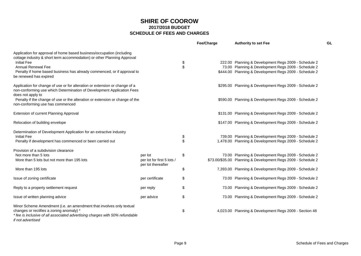|                                                                                                                                                                                                                       |                                                  |          | Fee/Charge | <b>Authority to set Fee</b>                                   | GL |
|-----------------------------------------------------------------------------------------------------------------------------------------------------------------------------------------------------------------------|--------------------------------------------------|----------|------------|---------------------------------------------------------------|----|
| Application for approval of home based business/occupation (including<br>cottage industry & short term accommodation) or other Planning Approval                                                                      |                                                  |          |            |                                                               |    |
| <b>Initial Fee</b>                                                                                                                                                                                                    |                                                  | \$       |            | 222.00 Planning & Development Regs 2009 - Schedule 2          |    |
| <b>Annual Renewal Fee</b>                                                                                                                                                                                             |                                                  | \$       |            | 73.00 Planning & Development Regs 2009 - Schedule 2           |    |
| Penalty if home based business has already commenced, or if approval to<br>be renewed has expired                                                                                                                     |                                                  |          |            | \$444.00 Planning & Development Regs 2009 - Schedule 2        |    |
| Application for change of use or for alteration or extension or change of a<br>non-conforming use which Determination of Development Application Fees<br>does not apply to                                            |                                                  |          |            | \$295.00 Planning & Development Regs 2009 - Schedule 2        |    |
| Penalty if the change of use or the alteration or extension or change of the<br>non-conforming use has commenced                                                                                                      |                                                  |          |            | \$590.00 Planning & Development Regs 2009 - Schedule 2        |    |
| Extension of current Planning Approval                                                                                                                                                                                |                                                  |          |            | \$131.00 Planning & Development Regs 2009 - Schedule 2        |    |
| Relocation of building envelope                                                                                                                                                                                       |                                                  |          |            | \$147.00 Planning & Development Regs 2009 - Schedule 2        |    |
| Determination of Development Application for an extractive industry<br><b>Initial Fee</b>                                                                                                                             |                                                  |          |            | 739.00 Planning & Development Regs 2009 - Schedule 2          |    |
| Penalty if development has commenced or been carried out                                                                                                                                                              |                                                  | \$<br>\$ |            | 1,478.00 Planning & Development Regs 2009 - Schedule 2        |    |
| Provision of a subdivision clearance                                                                                                                                                                                  |                                                  |          |            |                                                               |    |
| Not more than 5 lots                                                                                                                                                                                                  | per lot                                          | \$       |            | 73.00 Planning & Development Regs 2009 - Schedule 2           |    |
| More than 5 lots but not more than 195 lots                                                                                                                                                                           | per lot for first 5 lots /<br>per lot thereafter |          |            | \$73.00/\$35.00 Planning & Development Regs 2009 - Schedule 2 |    |
| More than 195 lots                                                                                                                                                                                                    |                                                  | \$       |            | 7,393.00 Planning & Development Regs 2009 - Schedule 2        |    |
| Issue of zoning certificate                                                                                                                                                                                           | per certificate                                  | \$       |            | 73.00 Planning & Development Regs 2009 - Schedule 2           |    |
| Reply to a property settlement request                                                                                                                                                                                | per reply                                        | \$       |            | 73.00 Planning & Development Regs 2009 - Schedule 2           |    |
| Issue of written planning advice                                                                                                                                                                                      | per advice                                       | \$       |            | 73.00 Planning & Development Regs 2009 - Schedule 2           |    |
| Minor Scheme Amendment (i.e. an amendment that involves only textual<br>changes or rectifies a zoning anomaly) *<br>* fee is inclusive of all associated advertising charges with 50% refundable<br>if not advertised |                                                  | \$       |            | 4,023.00 Planning & Development Regs 2009 - Section 48        |    |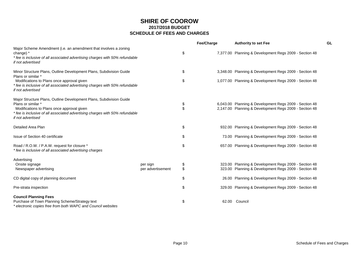|                                                                                                                                                                                                                                              |                               |          | Fee/Charge | <b>Authority to set Fee</b>                                                                                      | GL |
|----------------------------------------------------------------------------------------------------------------------------------------------------------------------------------------------------------------------------------------------|-------------------------------|----------|------------|------------------------------------------------------------------------------------------------------------------|----|
| Major Scheme Amendment (i.e. an amendment that involves a zoning<br>change) *<br>* fee is inclusive of all associated advertising charges with 50% refundable<br>if not advertised                                                           |                               | \$       |            | 7,377.00 Planning & Development Regs 2009 - Section 48                                                           |    |
| Minor Structure Plans, Outline Development Plans, Subdivision Guide<br>Plans or similar *                                                                                                                                                    |                               | \$       |            | 3,348.00 Planning & Development Regs 2009 - Section 48                                                           |    |
| Modifications to Plans once approval given<br>* fee is inclusive of all associated advertising charges with 50% refundable<br>if not advertised                                                                                              |                               | \$       |            | 1,077.00 Planning & Development Regs 2009 - Section 48                                                           |    |
| Major Structure Plans, Outline Development Plans, Subdivision Guide<br>Plans or similar *<br>Modifications to Plans once approval given<br>* fee is inclusive of all associated advertising charges with 50% refundable<br>if not advertised |                               | \$<br>\$ |            | 6,043.00 Planning & Development Regs 2009 - Section 48<br>2,147.00 Planning & Development Regs 2009 - Section 48 |    |
| Detailed Area Plan                                                                                                                                                                                                                           |                               | \$       |            | 932.00 Planning & Development Regs 2009 - Section 48                                                             |    |
| Issue of Section 40 certificate                                                                                                                                                                                                              |                               | \$       |            | 73.00 Planning & Development Regs 2009 - Section 48                                                              |    |
| Road / R.O.W. / P.A.W. request for closure *<br>* fee is inclusive of all associated advertising charges                                                                                                                                     |                               | \$       |            | 657.00 Planning & Development Regs 2009 - Section 48                                                             |    |
| Advertising<br>Onsite signage<br>Newspaper advertising                                                                                                                                                                                       | per sign<br>per advertisement | \$<br>\$ |            | 323.00 Planning & Development Regs 2009 - Section 48<br>323.00 Planning & Development Regs 2009 - Section 48     |    |
| CD digital copy of planning document                                                                                                                                                                                                         |                               | \$       |            | 26.00 Planning & Development Regs 2009 - Section 48                                                              |    |
| Pre-strata inspection                                                                                                                                                                                                                        |                               | \$       |            | 329.00 Planning & Development Regs 2009 - Section 48                                                             |    |
| <b>Council Planning Fees</b><br>Purchase of Town Planning Scheme/Strategy text<br>* electronic copies free from both WAPC and Council websites                                                                                               |                               | \$       | 62.00      | Council                                                                                                          |    |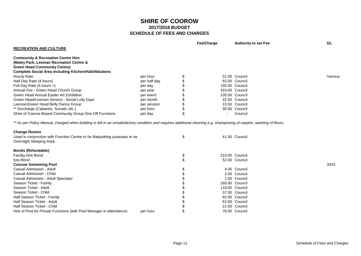|                                                                                                                                                                       |              |                | Fee/Charge | <b>Authority to set Fee</b> | GL      |
|-----------------------------------------------------------------------------------------------------------------------------------------------------------------------|--------------|----------------|------------|-----------------------------|---------|
| <b>RECREATION AND CULTURE</b>                                                                                                                                         |              |                |            |                             |         |
| <b>Community &amp; Recreation Centre Hire</b>                                                                                                                         |              |                |            |                             |         |
| (Maley Park, Leeman Recreation Centre &                                                                                                                               |              |                |            |                             |         |
| <b>Green Head Community Centre)</b>                                                                                                                                   |              |                |            |                             |         |
| <b>Complete Social Area including Kitchen/Hall/Ablutions</b>                                                                                                          |              |                |            |                             |         |
| <b>Hourly Rate</b>                                                                                                                                                    | per hour     | \$             |            | 31.00 Council               | Various |
| Half Day Rate (4 hours)                                                                                                                                               | per half day | \$             |            | 82.00 Council               |         |
| Full Day Rate (4 hours +)                                                                                                                                             | per day      | \$             |            | 155.00 Council              |         |
| Annual Fee - Green Head Church Group                                                                                                                                  | per year     | \$             |            | 310.00 Council              |         |
| Green Head Annual Easter Art Exhibition                                                                                                                               | per event    | \$             |            | 105.00 Council              |         |
| Green Head/Leeman Seniors - Social Lolly Days                                                                                                                         | per month    | \$             |            | 42.50 Council               |         |
| Leeman/Green Head Belly Dance Group                                                                                                                                   | per session  | \$             |            | 15.50 Council               |         |
| ** Surcharge (Cabarets, Socials, etc.)                                                                                                                                | per hour     | \$             |            | 90.00 Council               |         |
| Shire of Coorow Based Community Group One Off Functions                                                                                                               | per day      | \$             |            | Council                     |         |
| ** As per Policy Manual, charged when building is left in an unsatisfactory condition and requires additional cleaning e.g. shampooing of carpets, washing of floors. |              |                |            |                             |         |
| <b>Change Rooms</b>                                                                                                                                                   |              |                |            |                             |         |
| Used in conjunction with Function Centre or for Babysitting purposes or as<br>Overnight Sleeping Area.                                                                |              | \$             |            | 41.00 Council               |         |
| <b>Bonds (Refundable)</b>                                                                                                                                             |              |                |            |                             |         |
| <b>Facility Hire Bond</b>                                                                                                                                             |              | \$             |            | 310.00 Council              |         |
| Key Bond                                                                                                                                                              |              | $\mathfrak{L}$ |            | 52.00 Council               |         |
| <b>Coorow Swimming Pool</b>                                                                                                                                           |              |                |            |                             | 3433    |
| Casual Admission - Adult                                                                                                                                              |              |                |            | 4.00 Council                |         |
| Casual Admission - Child                                                                                                                                              |              |                |            | 2.00 Council                |         |
| Casual Admission - Adult Spectator                                                                                                                                    |              |                |            | 1.00 Council                |         |
| Season Ticket - Family                                                                                                                                                |              |                |            | 160.00 Council              |         |
| Season Ticket - Adult                                                                                                                                                 |              |                |            | 118.00 Council              |         |
| Season Ticket - Child                                                                                                                                                 |              |                |            | 37.00 Council               |         |
| Half Season Ticket - Family                                                                                                                                           |              |                |            | 92.00 Council               |         |
| Half Season Ticket - Adult                                                                                                                                            |              |                |            | 62.00 Council               |         |
| Half Season Ticket - Child                                                                                                                                            |              |                |            | 21.00 Council               |         |
| Hire of Pool for Private Functions (with Pool Manager in attendance)                                                                                                  | per hour     | $\mathfrak{L}$ |            | 76.00 Council               |         |
|                                                                                                                                                                       |              |                |            |                             |         |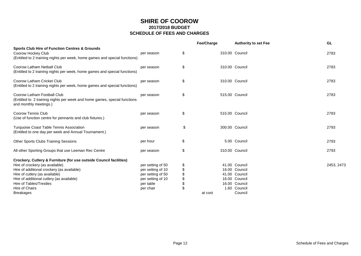|                                                                                                                                                                                                                                                                                 |                                                                                                            |                | Fee/Charge | <b>Authority to set Fee</b>                                                                       | GL         |
|---------------------------------------------------------------------------------------------------------------------------------------------------------------------------------------------------------------------------------------------------------------------------------|------------------------------------------------------------------------------------------------------------|----------------|------------|---------------------------------------------------------------------------------------------------|------------|
| <b>Sports Club Hire of Function Centres &amp; Grounds</b><br>Coorow Hockey Club<br>(Entitled to 2 training nights per week, home games and special functions)                                                                                                                   | per season                                                                                                 | \$             |            | 310.00 Council                                                                                    | 2783       |
| Coorow Latham Netball Club<br>(Entitled to 2 training nights per week, home games and special functions)                                                                                                                                                                        | per season                                                                                                 | \$             |            | 310.00 Council                                                                                    | 2783       |
| Coorow Latham Cricket Club<br>(Entitled to 2 training nights per week, home games and special functions)                                                                                                                                                                        | per season                                                                                                 | \$             |            | 310.00 Council                                                                                    | 2783       |
| Coorow Latham Football Club<br>(Entitled to 2 training nights per week and home games, special functions<br>and monthly meetings.)                                                                                                                                              | per season                                                                                                 | \$             |            | 515.00 Council                                                                                    | 2783       |
| Coorow Tennis Club<br>(Use of function centre for pennants and club fixtures.)                                                                                                                                                                                                  | per season                                                                                                 | \$             |            | 515.00 Council                                                                                    | 2783       |
| Turquoise Coast Table Tennis Association<br>(Entitled to one day per week and Annual Tournament.)                                                                                                                                                                               | per season                                                                                                 | \$             |            | 300.00 Council                                                                                    | 2793       |
| Other Sports Clubs Training Sessions                                                                                                                                                                                                                                            | per hour                                                                                                   | \$             |            | 5.00 Council                                                                                      | 2793       |
| All other Sporting Groups that use Leeman Rec Centre                                                                                                                                                                                                                            | per season                                                                                                 | \$             |            | 310.00 Council                                                                                    | 2793       |
| Crockery, Cutlery & Furniture (for use outside Council facilities)<br>Hire of crockery (as available)<br>Hire of additional crockery (as available)<br>Hire of cutlery (as available)<br>Hire of additional cutlery (as available)<br>Hire of Tables/Trestles<br>Hire of Chairs | per setting of 50<br>per setting of 10<br>per setting of 50<br>per setting of 10<br>per table<br>per chair | \$<br>\$<br>\$ |            | 41.00 Council<br>16.00 Council<br>41.00 Council<br>16.00 Council<br>16.00 Council<br>1.60 Council | 2453, 2473 |
| <b>Breakages</b>                                                                                                                                                                                                                                                                |                                                                                                            |                | at cost    | Council                                                                                           |            |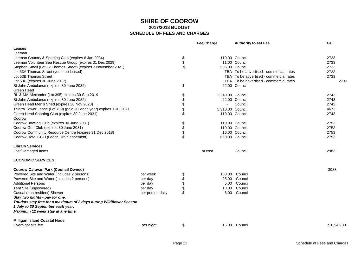|                                                                       |                  |                                           | Fee/Charge       | <b>Authority to set Fee</b>             | GL         |
|-----------------------------------------------------------------------|------------------|-------------------------------------------|------------------|-----------------------------------------|------------|
| Leases                                                                |                  |                                           |                  |                                         |            |
| Leeman                                                                |                  |                                           |                  |                                         |            |
| Leeman Country & Sporting Club (expires 6 Jan 2034)                   |                  | \$                                        |                  | 110.00 Council                          | 2733       |
| Leeman Volunteer Sea Rescue Group (expires 31 Dec 2029)               |                  | \$                                        |                  | 11.00 Council                           | 2733       |
| Stephen Small (Lot 52 Thomas Street) (expires 3 November 2021)        |                  | \$                                        |                  | 505.00 Council                          | 2733       |
| Lot 53A Thomas Street (yet to be leased)                              |                  |                                           |                  | TBA To be advertised - commercial rates | 2733       |
| Lot 53B Thomas Street                                                 |                  |                                           |                  | TBA To be advertised - commercial rates | 2733       |
| Lot 53C (expires 30 June 2017)                                        |                  |                                           |                  | TBA To be advertised - commercial rates | 2733       |
| St John Ambulance (expires 30 June 2032)                              |                  | $\, \, \raisebox{12pt}{$\scriptstyle \$}$ |                  | 22.00 Council                           |            |
| Green Head                                                            |                  |                                           |                  |                                         |            |
| RL & MA Alexander (Lot 395) expires 30 Sep 2019                       |                  | \$                                        | 2,240.00 Council |                                         | 2743       |
| St John Ambulance (expires 30 June 2032)                              |                  | \$                                        |                  | 22.00 Council                           | 2743       |
| Green Head Men's Shed (expires 30 Nov 2023)                           |                  | \$                                        |                  | Council                                 | 2743       |
| Telstra Tower Lease (Lot 709) (paid Jul each year) expires 1 Jul 2021 |                  | \$                                        | 5,310.00 Council |                                         | 4673       |
| Green Head Sporting Club (expires 30 June 2031)                       |                  | \$                                        |                  | 110.00 Council                          | 2743       |
| Coorow                                                                |                  |                                           |                  |                                         |            |
| Coorow Bowling Club (expires 30 June 2031)                            |                  | \$                                        |                  | 110.00 Council                          | 2753       |
| Coorow Golf Club (expires 30 June 2031)                               |                  | \$                                        |                  | 110.00 Council                          | 2753       |
| Coorow Community Resource Centre (expires 31 Dec 2018)                |                  | \$                                        |                  | 16.00 Council                           | 2753       |
| Coorow Hotel CCLI (Leach Drain easement)                              |                  | \$                                        |                  | 660.00 Council                          | 2753       |
| <b>Library Services</b>                                               |                  |                                           |                  |                                         |            |
| Lost/Damaged Items                                                    |                  |                                           | at cost          | Council                                 | 2983       |
| <b>ECONOMIC SERVICES</b>                                              |                  |                                           |                  |                                         |            |
| <b>Coorow Caravan Park (Council Owned)</b>                            |                  |                                           |                  |                                         | 3983       |
| Powered Site and Water (includes 2 persons)                           | per week         | \$                                        | 130.00           | Council                                 |            |
| Powered Site and Water (includes 2 persons)                           | per day          | \$                                        | 25.00            | Council                                 |            |
| <b>Additional Persons</b>                                             | per day          | \$                                        | 5.00             | Council                                 |            |
| Tent Site (unpowered)                                                 | per day          | \$                                        | 10.00            | Council                                 |            |
| Casual (non resident) Shower                                          | per person daily | \$                                        | 6.00             | Council                                 |            |
| Stay two nights - pay for one.                                        |                  |                                           |                  |                                         |            |
| Tourists stay free for a maximum of 2 days during Wildflower Season   |                  |                                           |                  |                                         |            |
| 1 July to 30 September each year.                                     |                  |                                           |                  |                                         |            |
| Maximum 12 week stay at any time.                                     |                  |                                           |                  |                                         |            |
| <b>Milligan Island Coastal Node</b>                                   |                  |                                           |                  |                                         |            |
| Overnight site fee                                                    | per night        | \$                                        |                  | 15.00 Council                           | \$6,943.00 |
|                                                                       |                  |                                           |                  |                                         |            |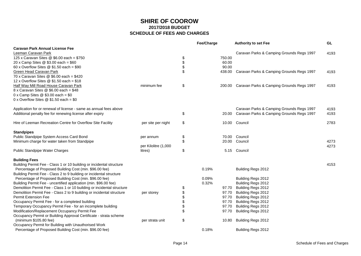|                                                                        |                      | Fee/Charge |        | <b>Authority to set Fee</b>                      | GL   |
|------------------------------------------------------------------------|----------------------|------------|--------|--------------------------------------------------|------|
| <b>Caravan Park Annual License Fee</b>                                 |                      |            |        |                                                  |      |
| Leeman Caravan Park                                                    |                      |            |        | Caravan Parks & Camping Grounds Regs 1997        | 4193 |
| 125 x Caravan Sites @ \$6.00 each = \$750                              |                      | \$         | 750.00 |                                                  |      |
| 20 x Camp Sites @ \$3.00 each = \$60                                   |                      | \$         | 60.00  |                                                  |      |
| 60 x Overflow Sites $@$ \$1.50 each = \$90                             |                      | \$         | 90.00  |                                                  |      |
| <b>Green Head Caravan Park</b>                                         |                      | \$         | 438.00 | Caravan Parks & Camping Grounds Regs 1997        | 4193 |
| 70 x Caravan Sites @ \$6.00 each = \$420                               |                      |            |        |                                                  |      |
| 12 x Overflow Sites $@$ \$1.50 each = \$18                             |                      |            |        |                                                  |      |
| <b>Half Way Mill Road House Caravan Park</b>                           | minimum fee          | \$         |        | 200.00 Caravan Parks & Camping Grounds Regs 1997 | 4193 |
| $8 \times$ Caravan Sites @ \$6.00 each = \$48                          |                      |            |        |                                                  |      |
| 0 x Camp Sites $@$ \$3.00 each = \$0                                   |                      |            |        |                                                  |      |
| 0 x Overflow Sites $@$ \$1.50 each = \$0                               |                      |            |        |                                                  |      |
| Application for or renewal of license - same as annual fees above      |                      |            |        | Caravan Parks & Camping Grounds Regs 1997        | 4193 |
| Additional penalty fee for renewing license after expiry               |                      | \$         |        | 20.00 Caravan Parks & Camping Grounds Regs 1997  | 4193 |
|                                                                        |                      |            |        |                                                  |      |
| Hire of Leeman Recreation Centre for Overflow Site Facility            | per site per night   | \$         |        | 10.00 Council                                    | 2783 |
| <b>Standpipes</b>                                                      |                      |            |        |                                                  |      |
| Public Standpipe System Access Card Bond                               | per annum            | \$         |        | 70.00 Council                                    |      |
| Minimum charge for water taken from Standpipe                          |                      | \$         |        | 20.00 Council                                    | 4273 |
|                                                                        | per Kilolitre (1,000 |            |        |                                                  | 4273 |
| Public Standpipe Water Charges                                         | litres)              | \$         |        | 5.15 Council                                     |      |
| <b>Building Fees</b>                                                   |                      |            |        |                                                  |      |
| Building Permit Fee - Class 1 or 10 building or incidental structure   |                      |            |        |                                                  | 4153 |
| Percentage of Proposed Building Cost (min. \$96.00 fee)                |                      | 0.19%      |        | Building Regs 2012                               |      |
| Building Permit Fee - Class 2 to 9 building or incidental structure    |                      |            |        |                                                  |      |
| Percentage of Proposed Building Cost (min. \$96.00 fee)                |                      | 0.09%      |        | Building Regs 2012                               |      |
| Building Permit Fee - uncertified application (min. \$96.00 fee)       |                      | 0.32%      |        | Building Regs 2012                               |      |
| Demolition Permit Fee - Class 1 or 10 building or incidental structure |                      | \$         | 97.70  | Building Regs 2012                               |      |
| Demolition Permit Fee - Class 2 to 9 building or incidental structure  | per storey           | \$         | 97.70  | Building Regs 2012                               |      |
| <b>Permit Extension Fee</b>                                            |                      | \$         | 97.70  | Building Regs 2012                               |      |
| Occupancy Permit Fee - for a completed building                        |                      | \$         | 97.70  | Building Regs 2012                               |      |
| Temporary Occupancy Permit Fee - for an incomplete building            |                      | \$         | 97.70  | Building Regs 2012                               |      |
| Modification/Replacement Occupancy Permit Fee                          |                      | \$         | 97.70  | Building Regs 2012                               |      |
| Occupancy Permit or Building Approval Certificate - strata scheme      |                      |            |        |                                                  |      |
| (minimum \$105.80 fee)                                                 | per strata unit      | \$         | 10.80  | Building Regs 2012                               |      |
| Occupancy Permit for Building with Unauthorised Work                   |                      |            |        |                                                  |      |
| Percentage of Proposed Building Cost (min. \$96.00 fee)                |                      | 0.18%      |        | Building Regs 2012                               |      |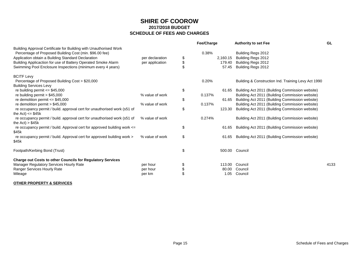|                                                                          |                 | <b>Fee/Charge</b> | <b>Authority to set Fee</b>                         | <b>GL</b> |
|--------------------------------------------------------------------------|-----------------|-------------------|-----------------------------------------------------|-----------|
| Building Approval Certificate for Building with Unauthorised Work        |                 |                   |                                                     |           |
| Percentage of Proposed Building Cost (min. \$96.00 fee)                  |                 | 0.38%             | Building Regs 2012                                  |           |
| Application obtain a Building Standard Declaration                       | per declaration | \$<br>2,160.15    | Building Regs 2012                                  |           |
| Building Applicaction for use of Battery Operated Smoke Alarm            | per application | \$<br>179.40      | Building Regs 2012                                  |           |
| Swimming Pool Enclosure Inspections (minimum every 4 years)              |                 | 57.45             | Building Regs 2012                                  |           |
| <b>BCITF Levy</b>                                                        |                 |                   |                                                     |           |
| Percentage of Proposed Building Cost > \$20,000                          |                 | 0.20%             | Building & Construction Ind. Training Levy Act 1990 |           |
| <b>Building Services Levy</b>                                            |                 |                   |                                                     |           |
| re building permit $\leq$ \$45,000                                       |                 | \$<br>61.65       | Building Act 2011 (Building Commission website)     |           |
| re building permit $> $45,000$                                           | % value of work | 0.137%            | Building Act 2011 (Building Commission website)     |           |
| re demolition permit $= $45,000$                                         |                 | \$<br>61.65       | Building Act 2011 (Building Commission website)     |           |
| re demolition permit > $$45,000$                                         | % value of work | 0.137%            | Building Act 2011 (Building Commission website)     |           |
| re occupancy permit / build. approval cert for unauthorised work (s51 of |                 | \$<br>123.30      | Building Act 2011 (Building Commission website)     |           |
| the Act) $\le$ \$45k                                                     |                 |                   |                                                     |           |
| re occupancy permit / build. approval cert for unauthorised work (s51 of | % value of work | 0.274%            | Building Act 2011 (Building Commission website)     |           |
| the $Act) > $45k$                                                        |                 |                   |                                                     |           |
| re occupancy permit / build. Approval cert for approved building work <= |                 | \$<br>61.65       | Building Act 2011 (Building Commission website)     |           |
| \$45k                                                                    |                 |                   |                                                     |           |
| re occupancy permit / build. Approval cert for approved building work >  | % value of work | \$<br>61.65       | Building Act 2011 (Building Commission website)     |           |
| \$45k                                                                    |                 |                   |                                                     |           |
| Footpath/Kerbing Bond (Trust)                                            |                 | \$<br>500.00      | Council                                             |           |
| <b>Charge out Costs to other Councils for Regulatory Services</b>        |                 |                   |                                                     |           |
| Manager Regulatory Services Hourly Rate                                  | per hour        | \$<br>113.00      | Council                                             | 4133      |
| Ranger Services Hourly Rate                                              | per hour        | \$<br>80.00       | Council                                             |           |
| Mileage                                                                  | per km          | 1.05              | Council                                             |           |
|                                                                          |                 |                   |                                                     |           |

#### **OTHER PROPERTY & SERVICES**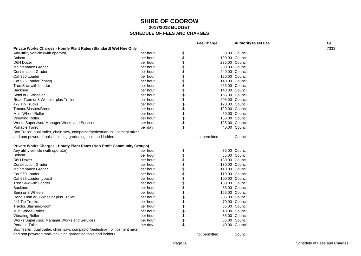|                                                                               |          | <b>Fee/Charge</b>    | <b>Authority to set Fee</b> | GL.  |
|-------------------------------------------------------------------------------|----------|----------------------|-----------------------------|------|
| Private Works Charges - Hourly Plant Rates (Standard) Wet Hire Only           |          |                      |                             | 7333 |
| Any utility vehicle (with operator)                                           | per hour | \$                   | 80.00 Council               |      |
| <b>Bobcat</b>                                                                 | per hour | \$                   | 100.00 Council              |      |
| D6H Dozer                                                                     | per hour | \$                   | 235.00 Council              |      |
| Maintenance Grader                                                            | per hour | \$<br>200.00 Council |                             |      |
| <b>Construction Grader</b>                                                    | per hour | \$                   | 240.00 Council              |      |
| Cat 950 Loader                                                                | per hour | \$                   | 180.00 Council              |      |
| Cat 926 Loader (coast)                                                        | per hour | \$<br>140.00 Council |                             |      |
| Tree Saw with Loader                                                          | per hour |                      | 255.00 Council              |      |
| Backhoe                                                                       | per hour | \$<br>140.00 Council |                             |      |
| Semi or 8 Wheeler                                                             | per hour | \$                   | 165.00 Council              |      |
| Road Train or 8 Wheeler plus Trailer                                          | per hour | \$                   | 205.00 Council              |      |
| 4x2 Tip Trucks                                                                | per hour | \$                   | 120.00 Council              |      |
| Tractor/Slasher/Broom                                                         | per hour | \$                   | 120.00 Council              |      |
| <b>Multi Wheel Roller</b>                                                     | per hour | \$                   | 50.00 Council               |      |
| <b>Vibrating Roller</b>                                                       | per hour | \$                   | 150.00 Council              |      |
| Works Supervisor/ Manager Works and Services                                  | per hour | \$                   | 125.00 Council              |      |
| <b>Portable Toilet</b>                                                        | per day  | \$                   | 40.00 Council               |      |
| Box Trailer, dual trailer, chain saw, compactor/pedestrian roll, cement mixer |          |                      |                             |      |
| and non powered tools including gardening tools and ladders                   |          | not permitted        | Council                     |      |
|                                                                               |          |                      |                             |      |
| Private Works Charges - Hourly Plant Rates (Non Profit Community Groups)      |          |                      |                             |      |
| Any utility vehicle (with operator)                                           | per hour | \$                   | 75.00 Council               |      |
| <b>Bobcat</b>                                                                 | per hour | \$                   | 65.00 Council               |      |
| D6H Dozer                                                                     | per hour | \$                   | 130.00 Council              |      |
| <b>Construction Grader</b>                                                    | per hour | \$                   | 130.00 Council              |      |
| Maintenance Grader                                                            | per hour | \$<br>110.00 Council |                             |      |
| Cat 950 Loader                                                                | per hour | \$                   | 110.00 Council              |      |
| Cat 926 Loader (coast)                                                        | per hour | \$<br>100.00 Council |                             |      |
| Tree Saw with Loader                                                          | per hour | \$                   | 160.00 Council              |      |
| <b>Backhoe</b>                                                                | per hour | \$                   | 85.00 Council               |      |
| Semi or 8 Wheeler                                                             | per hour |                      | 165.00 Council              |      |
| Road Train or 8 Wheeler plus Trailer                                          | per hour |                      | 205.00 Council              |      |
| 4x2 Tip Trucks                                                                | per hour | \$                   | 70.00 Council               |      |
| Tractor/Slasher/Broom                                                         | per hour | \$                   | 85.00 Council               |      |
| Multi Wheel Roller                                                            | per hour | \$                   | 40.00 Council               |      |
| <b>Vibrating Roller</b>                                                       | per hour |                      | 85.00 Council               |      |
| Works Supervisor/ Manager Works and Services                                  | per hour | \$                   | 85.00 Council               |      |
| <b>Portable Toilet</b>                                                        | per day  | \$                   | 40.00 Council               |      |
| Box Trailer, dual trailer, chain saw, compactor/pedestrian roll, cement mixer |          |                      |                             |      |
| and non powered tools including gardening tools and ladders                   |          | not permitted        | Council                     |      |